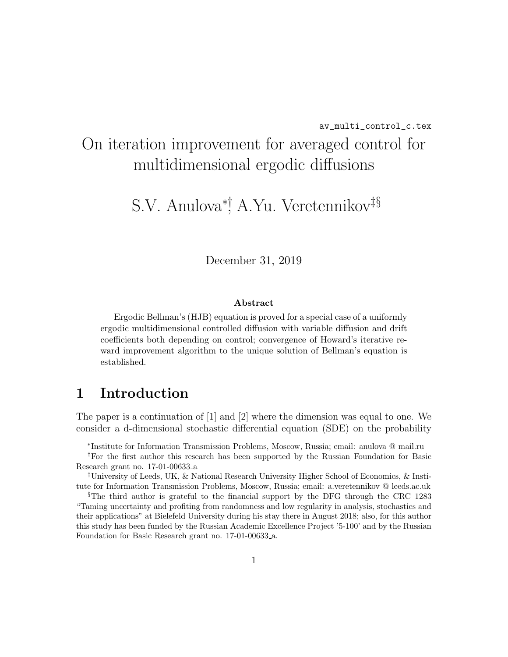# On iteration improvement for averaged control for multidimensional ergodic diffusions

S.V. Anulova∗†, A.Yu. Veretennikov‡§

December 31, 2019

#### Abstract

Ergodic Bellman's (HJB) equation is proved for a special case of a uniformly ergodic multidimensional controlled diffusion with variable diffusion and drift coefficients both depending on control; convergence of Howard's iterative reward improvement algorithm to the unique solution of Bellman's equation is established.

### 1 Introduction

The paper is a continuation of [1] and [2] where the dimension was equal to one. We consider a d-dimensional stochastic differential equation (SDE) on the probability

<sup>∗</sup> Institute for Information Transmission Problems, Moscow, Russia; email: anulova @ mail.ru

<sup>†</sup>For the first author this research has been supported by the Russian Foundation for Basic Research grant no. 17-01-00633 a

<sup>‡</sup>University of Leeds, UK, & National Research University Higher School of Economics, & Institute for Information Transmission Problems, Moscow, Russia; email: a.veretennikov @ leeds.ac.uk

<sup>§</sup>The third author is grateful to the financial support by the DFG through the CRC 1283 "Taming uncertainty and profiting from randomness and low regularity in analysis, stochastics and their applications" at Bielefeld University during his stay there in August 2018; also, for this author this study has been funded by the Russian Academic Excellence Project '5-100' and by the Russian Foundation for Basic Research grant no. 17-01-00633 a.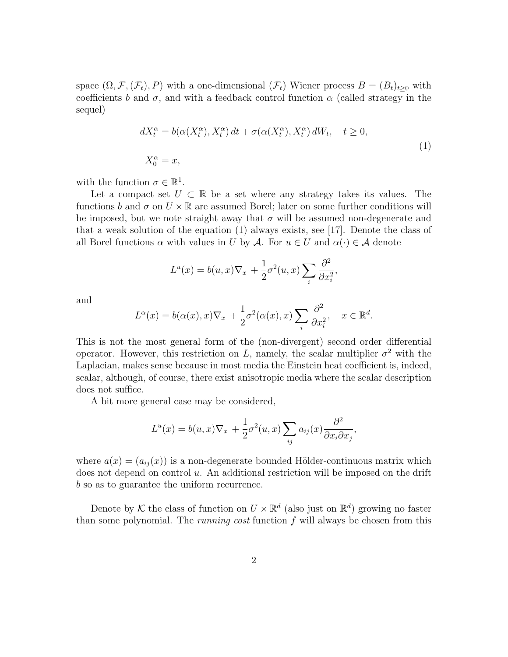space  $(\Omega, \mathcal{F}, (\mathcal{F}_t), P)$  with a one-dimensional  $(\mathcal{F}_t)$  Wiener process  $B = (B_t)_{t>0}$  with coefficients b and  $\sigma$ , and with a feedback control function  $\alpha$  (called strategy in the sequel)

$$
dX_t^{\alpha} = b(\alpha(X_t^{\alpha}), X_t^{\alpha}) dt + \sigma(\alpha(X_t^{\alpha}), X_t^{\alpha}) dW_t, \quad t \ge 0,
$$
  
\n
$$
X_0^{\alpha} = x,
$$
\n(1)

with the function  $\sigma \in \mathbb{R}^1$ .

Let a compact set  $U \subset \mathbb{R}$  be a set where any strategy takes its values. The functions b and  $\sigma$  on  $U \times \mathbb{R}$  are assumed Borel; later on some further conditions will be imposed, but we note straight away that  $\sigma$  will be assumed non-degenerate and that a weak solution of the equation (1) always exists, see [17]. Denote the class of all Borel functions  $\alpha$  with values in U by A. For  $u \in U$  and  $\alpha(\cdot) \in \mathcal{A}$  denote

$$
L^{u}(x) = b(u, x)\nabla_{x} + \frac{1}{2}\sigma^{2}(u, x)\sum_{i} \frac{\partial^{2}}{\partial x_{i}^{2}},
$$

and

$$
L^{\alpha}(x) = b(\alpha(x), x)\nabla_x + \frac{1}{2}\sigma^2(\alpha(x), x) \sum_i \frac{\partial^2}{\partial x_i^2}, \quad x \in \mathbb{R}^d.
$$

This is not the most general form of the (non-divergent) second order differential operator. However, this restriction on L, namely, the scalar multiplier  $\sigma^2$  with the Laplacian, makes sense because in most media the Einstein heat coefficient is, indeed, scalar, although, of course, there exist anisotropic media where the scalar description does not suffice.

A bit more general case may be considered,

$$
L^{u}(x) = b(u, x)\nabla_{x} + \frac{1}{2}\sigma^{2}(u, x)\sum_{ij} a_{ij}(x)\frac{\partial^{2}}{\partial x_{i}\partial x_{j}},
$$

where  $a(x) = (a_{ij}(x))$  is a non-degenerate bounded Hölder-continuous matrix which does not depend on control u. An additional restriction will be imposed on the drift b so as to guarantee the uniform recurrence.

Denote by K the class of function on  $U \times \mathbb{R}^d$  (also just on  $\mathbb{R}^d$ ) growing no faster than some polynomial. The *running cost* function  $f$  will always be chosen from this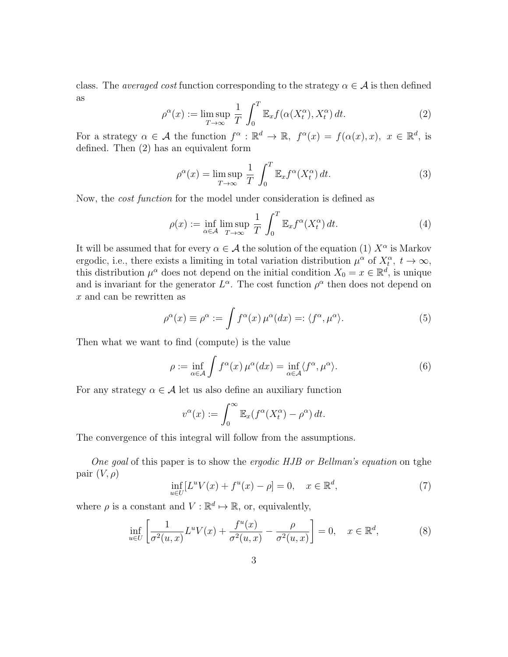class. The *averaged cost* function corresponding to the strategy  $\alpha \in \mathcal{A}$  is then defined as

$$
\rho^{\alpha}(x) := \limsup_{T \to \infty} \frac{1}{T} \int_0^T \mathbb{E}_x f(\alpha(X_t^{\alpha}), X_t^{\alpha}) dt.
$$
 (2)

For a strategy  $\alpha \in \mathcal{A}$  the function  $f^{\alpha}: \mathbb{R}^d \to \mathbb{R}$ ,  $f^{\alpha}(x) = f(\alpha(x), x)$ ,  $x \in \mathbb{R}^d$ , is defined. Then (2) has an equivalent form

$$
\rho^{\alpha}(x) = \limsup_{T \to \infty} \frac{1}{T} \int_0^T \mathbb{E}_x f^{\alpha}(X_t^{\alpha}) dt.
$$
 (3)

Now, the cost function for the model under consideration is defined as

$$
\rho(x) := \inf_{\alpha \in \mathcal{A}} \limsup_{T \to \infty} \frac{1}{T} \int_0^T \mathbb{E}_x f^{\alpha}(X_t^{\alpha}) dt.
$$
 (4)

It will be assumed that for every  $\alpha \in \mathcal{A}$  the solution of the equation (1)  $X^{\alpha}$  is Markov ergodic, i.e., there exists a limiting in total variation distribution  $\mu^{\alpha}$  of  $X_t^{\alpha}, t \to \infty$ , this distribution  $\mu^{\alpha}$  does not depend on the initial condition  $X_0 = x \in \mathbb{R}^d$ , is unique and is invariant for the generator  $L^{\alpha}$ . The cost function  $\rho^{\alpha}$  then does not depend on x and can be rewritten as

$$
\rho^{\alpha}(x) \equiv \rho^{\alpha} := \int f^{\alpha}(x) \,\mu^{\alpha}(dx) =: \langle f^{\alpha}, \mu^{\alpha} \rangle. \tag{5}
$$

Then what we want to find (compute) is the value

$$
\rho := \inf_{\alpha \in \mathcal{A}} \int f^{\alpha}(x) \,\mu^{\alpha}(dx) = \inf_{\alpha \in \mathcal{A}} \langle f^{\alpha}, \mu^{\alpha} \rangle. \tag{6}
$$

For any strategy  $\alpha \in \mathcal{A}$  let us also define an auxiliary function

$$
v^{\alpha}(x) := \int_0^{\infty} \mathbb{E}_x(f^{\alpha}(X_t^{\alpha}) - \rho^{\alpha}) dt.
$$

The convergence of this integral will follow from the assumptions.

One goal of this paper is to show the ergodic HJB or Bellman's equation on tghe pair  $(V, \rho)$ 

$$
\inf_{u \in U} [L^u V(x) + f^u(x) - \rho] = 0, \quad x \in \mathbb{R}^d,
$$
\n(7)

where  $\rho$  is a constant and  $V : \mathbb{R}^d \mapsto \mathbb{R}$ , or, equivalently,

$$
\inf_{u \in U} \left[ \frac{1}{\sigma^2(u, x)} L^u V(x) + \frac{f^u(x)}{\sigma^2(u, x)} - \frac{\rho}{\sigma^2(u, x)} \right] = 0, \quad x \in \mathbb{R}^d,
$$
\n(8)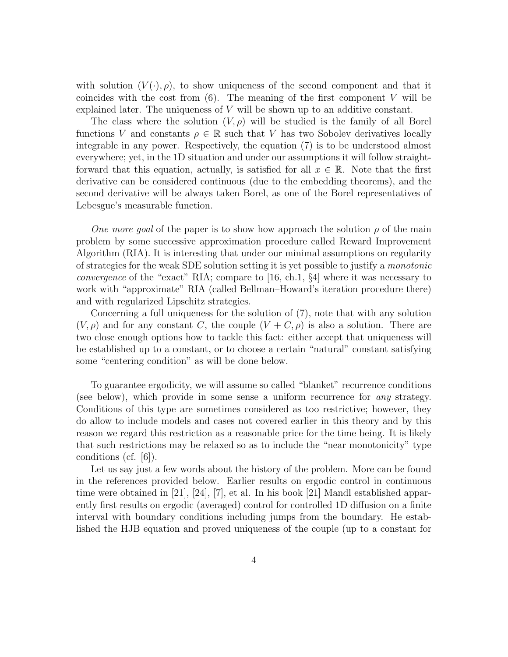with solution  $(V(\cdot), \rho)$ , to show uniqueness of the second component and that it coincides with the cost from  $(6)$ . The meaning of the first component V will be explained later. The uniqueness of V will be shown up to an additive constant.

The class where the solution  $(V, \rho)$  will be studied is the family of all Borel functions V and constants  $\rho \in \mathbb{R}$  such that V has two Sobolev derivatives locally integrable in any power. Respectively, the equation (7) is to be understood almost everywhere; yet, in the 1D situation and under our assumptions it will follow straightforward that this equation, actually, is satisfied for all  $x \in \mathbb{R}$ . Note that the first derivative can be considered continuous (due to the embedding theorems), and the second derivative will be always taken Borel, as one of the Borel representatives of Lebesgue's measurable function.

One more goal of the paper is to show how approach the solution  $\rho$  of the main problem by some successive approximation procedure called Reward Improvement Algorithm (RIA). It is interesting that under our minimal assumptions on regularity of strategies for the weak SDE solution setting it is yet possible to justify a monotonic convergence of the "exact" RIA; compare to [16, ch.1, §4] where it was necessary to work with "approximate" RIA (called Bellman–Howard's iteration procedure there) and with regularized Lipschitz strategies.

Concerning a full uniqueness for the solution of (7), note that with any solution  $(V, \rho)$  and for any constant C, the couple  $(V + C, \rho)$  is also a solution. There are two close enough options how to tackle this fact: either accept that uniqueness will be established up to a constant, or to choose a certain "natural" constant satisfying some "centering condition" as will be done below.

To guarantee ergodicity, we will assume so called "blanket" recurrence conditions (see below), which provide in some sense a uniform recurrence for any strategy. Conditions of this type are sometimes considered as too restrictive; however, they do allow to include models and cases not covered earlier in this theory and by this reason we regard this restriction as a reasonable price for the time being. It is likely that such restrictions may be relaxed so as to include the "near monotonicity" type conditions (cf. [6]).

Let us say just a few words about the history of the problem. More can be found in the references provided below. Earlier results on ergodic control in continuous time were obtained in [21], [24], [7], et al. In his book [21] Mandl established apparently first results on ergodic (averaged) control for controlled 1D diffusion on a finite interval with boundary conditions including jumps from the boundary. He established the HJB equation and proved uniqueness of the couple (up to a constant for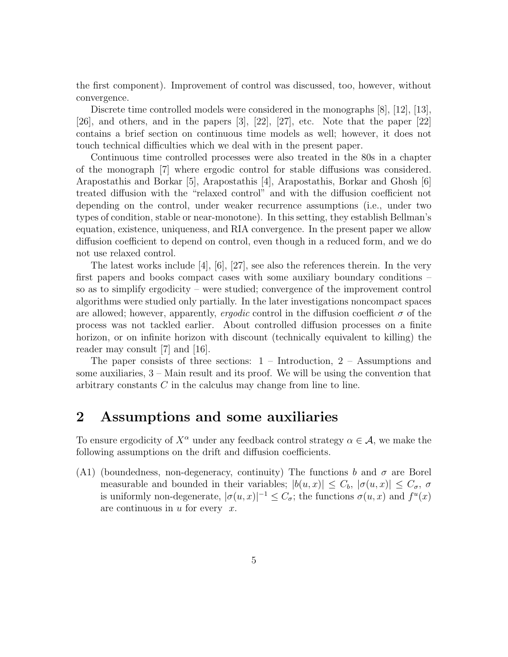the first component). Improvement of control was discussed, too, however, without convergence.

Discrete time controlled models were considered in the monographs [8], [12], [13], [26], and others, and in the papers [3], [22], [27], etc. Note that the paper [22] contains a brief section on continuous time models as well; however, it does not touch technical difficulties which we deal with in the present paper.

Continuous time controlled processes were also treated in the 80s in a chapter of the monograph [7] where ergodic control for stable diffusions was considered. Arapostathis and Borkar [5], Arapostathis [4], Arapostathis, Borkar and Ghosh [6] treated diffusion with the "relaxed control" and with the diffusion coefficient not depending on the control, under weaker recurrence assumptions (i.e., under two types of condition, stable or near-monotone). In this setting, they establish Bellman's equation, existence, uniqueness, and RIA convergence. In the present paper we allow diffusion coefficient to depend on control, even though in a reduced form, and we do not use relaxed control.

The latest works include [4], [6], [27], see also the references therein. In the very first papers and books compact cases with some auxiliary boundary conditions – so as to simplify ergodicity – were studied; convergence of the improvement control algorithms were studied only partially. In the later investigations noncompact spaces are allowed; however, apparently, *ergodic* control in the diffusion coefficient  $\sigma$  of the process was not tackled earlier. About controlled diffusion processes on a finite horizon, or on infinite horizon with discount (technically equivalent to killing) the reader may consult [7] and [16].

The paper consists of three sections:  $1 - Introduction$ ,  $2 - Assumptions$  and some auxiliaries, 3 – Main result and its proof. We will be using the convention that arbitrary constants C in the calculus may change from line to line.

#### 2 Assumptions and some auxiliaries

To ensure ergodicity of  $X^{\alpha}$  under any feedback control strategy  $\alpha \in \mathcal{A}$ , we make the following assumptions on the drift and diffusion coefficients.

(A1) (boundedness, non-degeneracy, continuity) The functions b and  $\sigma$  are Borel measurable and bounded in their variables;  $|b(u, x)| \leq C_b$ ,  $|\sigma(u, x)| \leq C_{\sigma}$ ,  $\sigma$ is uniformly non-degenerate,  $|\sigma(u,x)|^{-1} \leq C_{\sigma}$ ; the functions  $\sigma(u,x)$  and  $f^u(x)$ are continuous in  $u$  for every  $x$ .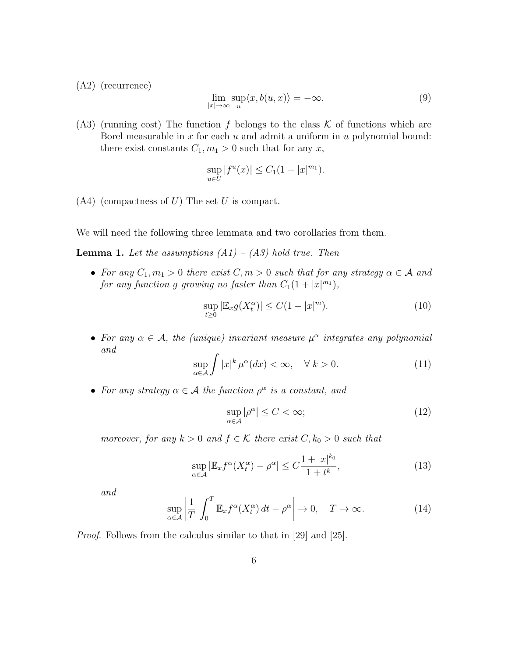(A2) (recurrence)

$$
\lim_{|x| \to \infty} \sup_{u} \langle x, b(u, x) \rangle = -\infty. \tag{9}
$$

(A3) (running cost) The function f belongs to the class  $K$  of functions which are Borel measurable in  $x$  for each  $u$  and admit a uniform in  $u$  polynomial bound: there exist constants  $C_1, m_1 > 0$  such that for any x,

$$
\sup_{u \in U} |f^u(x)| \le C_1 (1 + |x|^{m_1}).
$$

 $(A4)$  (compactness of U) The set U is compact.

We will need the following three lemmata and two corollaries from them.

**Lemma 1.** Let the assumptions  $(A1) - (A3)$  hold true. Then

• For any  $C_1, m_1 > 0$  there exist  $C, m > 0$  such that for any strategy  $\alpha \in \mathcal{A}$  and for any function g growing no faster than  $C_1(1+|x|^{m_1}),$ 

$$
\sup_{t\geq 0} |\mathbb{E}_x g(X_t^{\alpha})| \leq C(1+|x|^m). \tag{10}
$$

• For any  $\alpha \in \mathcal{A}$ , the (unique) invariant measure  $\mu^{\alpha}$  integrates any polynomial and

$$
\sup_{\alpha \in \mathcal{A}} \int |x|^k \,\mu^{\alpha}(dx) < \infty, \quad \forall \, k > 0. \tag{11}
$$

• For any strategy  $\alpha \in \mathcal{A}$  the function  $\rho^{\alpha}$  is a constant, and

$$
\sup_{\alpha \in \mathcal{A}} |\rho^{\alpha}| \le C < \infty; \tag{12}
$$

moreover, for any  $k > 0$  and  $f \in K$  there exist  $C, k_0 > 0$  such that

$$
\sup_{\alpha \in \mathcal{A}} |\mathbb{E}_x f^{\alpha}(X_t^{\alpha}) - \rho^{\alpha}| \le C \frac{1 + |x|^{k_0}}{1 + t^k},\tag{13}
$$

and

$$
\sup_{\alpha \in \mathcal{A}} \left| \frac{1}{T} \int_0^T \mathbb{E}_x f^{\alpha}(X_t^{\alpha}) dt - \rho^{\alpha} \right| \to 0, \quad T \to \infty.
$$
 (14)

Proof. Follows from the calculus similar to that in [29] and [25].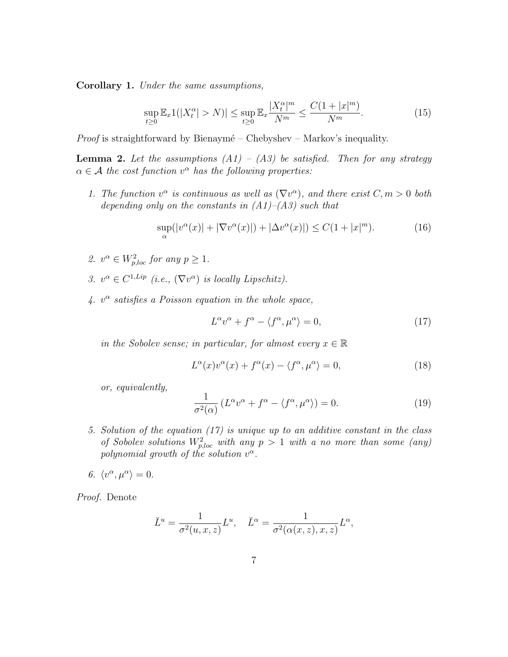Corollary 1. Under the same assumptions,

$$
\sup_{t \ge 0} \mathbb{E}_x 1(|X_t^{\alpha}| > N)| \le \sup_{t \ge 0} \mathbb{E}_x \frac{|X_t^{\alpha}|^m}{N^m} \le \frac{C(1+|x|^m)}{N^m}.
$$
\n(15)

*Proof* is straightforward by Bienaymé – Chebyshev – Markov's inequality.

**Lemma 2.** Let the assumptions  $(A1) - (A3)$  be satisfied. Then for any strategy  $\alpha \in \mathcal{A}$  the cost function  $v^{\alpha}$  has the following properties:

1. The function  $v^{\alpha}$  is continuous as well as  $(\nabla v^{\alpha})$ , and there exist  $C, m > 0$  both depending only on the constants in  $(A1)$ – $(A3)$  such that

$$
\sup_{\alpha}(|v^{\alpha}(x)| + |\nabla v^{\alpha}(x)|) + |\Delta v^{\alpha}(x)|) \le C(1 + |x|^m). \tag{16}
$$

- 2.  $v^{\alpha} \in W_{p,loc}^2$  for any  $p \geq 1$ .
- 3.  $v^{\alpha} \in C^{1,Lip}$  (i.e.,  $(\nabla v^{\alpha})$  is locally Lipschitz).
- 4.  $v^{\alpha}$  satisfies a Poisson equation in the whole space,

$$
L^{\alpha}v^{\alpha} + f^{\alpha} - \langle f^{\alpha}, \mu^{\alpha} \rangle = 0, \qquad (17)
$$

in the Sobolev sense; in particular, for almost every  $x \in \mathbb{R}$ 

$$
L^{\alpha}(x)v^{\alpha}(x) + f^{\alpha}(x) - \langle f^{\alpha}, \mu^{\alpha} \rangle = 0, \qquad (18)
$$

or, equivalently,

$$
\frac{1}{\sigma^2(\alpha)} \left( L^{\alpha} v^{\alpha} + f^{\alpha} - \langle f^{\alpha}, \mu^{\alpha} \rangle \right) = 0. \tag{19}
$$

- 5. Solution of the equation (17) is unique up to an additive constant in the class of Sobolev solutions  $W_{p,loc}^2$  with any  $p > 1$  with a no more than some (any) polynomial growth of the solution  $v^{\alpha}$ .
- 6.  $\langle v^{\alpha}, \mu^{\alpha} \rangle = 0.$

Proof. Denote

$$
\bar{L}^u = \frac{1}{\sigma^2(u, x, z)} L^u, \quad \bar{L}^\alpha = \frac{1}{\sigma^2(\alpha(x, z), x, z)} L^\alpha,
$$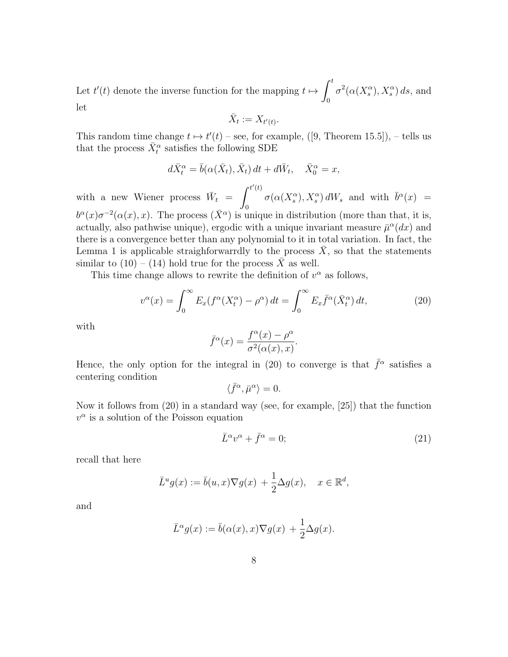Let  $t'(t)$  denote the inverse function for the mapping  $t \mapsto \int_0^t$ 0  $\sigma^2(\alpha(X_s^{\alpha}), X_s^{\alpha}) ds$ , and let

$$
\bar{X}_t := X_{t'(t)}.
$$

This random time change  $t \mapsto t'(t)$  – see, for example, ([9, Theorem 15.5]), – tells us that the process  $\bar{X}^{\alpha}_t$  satisfies the following SDE

$$
d\bar{X}^{\alpha}_t = \bar{b}(\alpha(\bar{X}_t), \bar{X}_t) dt + d\bar{W}_t, \quad \bar{X}^{\alpha}_0 = x,
$$

with a new Wiener process  $\bar{W}_t =$  $\int^{t'(t)}$ 0  $\sigma(\alpha(X_s^{\alpha}), X_s^{\alpha}) dW_s$  and with  $\bar{b}^{\alpha}(x) =$  $b^{\alpha}(x)\sigma^{-2}(\alpha(x),x)$ . The process  $(\bar{X}^{\alpha})$  is unique in distribution (more than that, it is, actually, also pathwise unique), ergodic with a unique invariant measure  $\bar{\mu}^{\alpha}(dx)$  and there is a convergence better than any polynomial to it in total variation. In fact, the Lemma 1 is applicable straighforwarrdly to the process  $\bar{X}$ , so that the statements similar to  $(10) - (14)$  hold true for the process  $\overline{X}$  as well.

This time change allows to rewrite the definition of  $v^{\alpha}$  as follows,

$$
v^{\alpha}(x) = \int_0^{\infty} E_x(f^{\alpha}(X_t^{\alpha}) - \rho^{\alpha}) dt = \int_0^{\infty} E_x \bar{f}^{\alpha}(\bar{X}_t^{\alpha}) dt,
$$
 (20)

with

$$
\bar{f}^{\alpha}(x) = \frac{f^{\alpha}(x) - \rho^{\alpha}}{\sigma^2(\alpha(x), x)}.
$$

Hence, the only option for the integral in (20) to converge is that  $\bar{f}^{\alpha}$  satisfies a centering condition

$$
\langle \bar{f}^\alpha, \bar{\mu}^\alpha \rangle = 0.
$$

Now it follows from (20) in a standard way (see, for example, [25]) that the function  $v^{\alpha}$  is a solution of the Poisson equation

$$
\bar{L}^{\alpha}v^{\alpha} + \bar{f}^{\alpha} = 0; \tag{21}
$$

recall that here

$$
\bar{L}^u g(x) := \bar{b}(u, x) \nabla g(x) + \frac{1}{2} \Delta g(x), \quad x \in \mathbb{R}^d,
$$

and

$$
\bar{L}^{\alpha}g(x) := \bar{b}(\alpha(x), x)\nabla g(x) + \frac{1}{2}\Delta g(x).
$$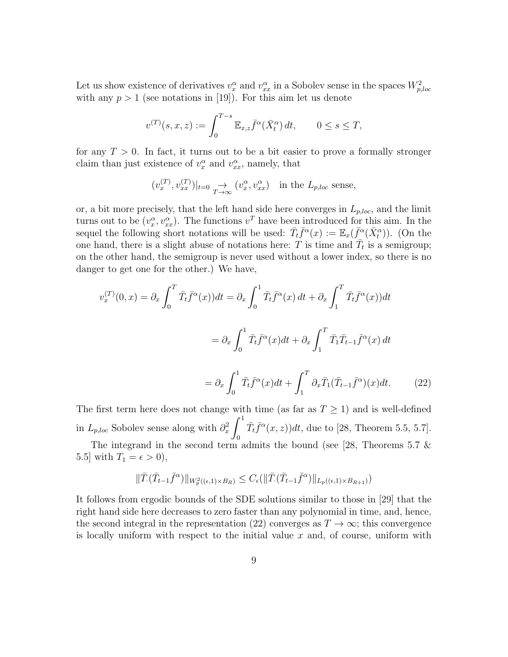Let us show existence of derivatives  $v_x^{\alpha}$  and  $v_{xx}^{\alpha}$  in a Sobolev sense in the spaces  $W_{p,loc}^2$ with any  $p > 1$  (see notations in [19]). For this aim let us denote

$$
v^{(T)}(s,x,z):=\int_0^{T-s}\mathbb{E}_{x,z}\bar{f}^\alpha(\bar{X}^\alpha_t)\,dt,\qquad 0\le s\le T,
$$

for any  $T > 0$ . In fact, it turns out to be a bit easier to prove a formally stronger claim than just existence of  $v_x^{\alpha}$  and  $v_{xx}^{\alpha}$ , namely, that

$$
(v_x^{(T)}, v_{xx}^{(T)})|_{t=0} \to (v_x^{\alpha}, v_{xx}^{\alpha})
$$
 in the  $L_{p,loc}$  sense,

or, a bit more precisely, that the left hand side here converges in  $L_{p,loc}$ , and the limit turns out to be  $(v_x^{\alpha}, v_{xx}^{\alpha})$ . The functions  $v^T$  have been introduced for this aim. In the sequel the following short notations will be used:  $\bar{T}_t \bar{f}^\alpha(x) := \mathbb{E}_x(\bar{f}^\alpha(\bar{X}_t^\alpha))$ . (On the one hand, there is a slight abuse of notations here: T is time and  $\overline{T}_t$  is a semigroup; on the other hand, the semigroup is never used without a lower index, so there is no danger to get one for the other.) We have,

$$
v_x^{(T)}(0,x) = \partial_x \int_0^T \overline{T}_t \overline{f}^\alpha(x) dt = \partial_x \int_0^1 \overline{T}_t \overline{f}^\alpha(x) dt + \partial_x \int_1^T \overline{T}_t \overline{f}^\alpha(x) dt
$$

$$
= \partial_x \int_0^1 \overline{T}_t \overline{f}^\alpha(x) dt + \partial_x \int_1^T \overline{T}_1 \overline{T}_{t-1} \overline{f}^\alpha(x) dt
$$

$$
= \partial_x \int_0^1 \overline{T}_t \overline{f}^\alpha(x) dt + \int_1^T \partial_x \overline{T}_1 (\overline{T}_{t-1} \overline{f}^\alpha)(x) dt. \tag{22}
$$

The first term here does not change with time (as far as  $T \geq 1$ ) and is well-defined in  $L_{p,loc}$  Sobolev sense along with  $\partial_x^2$  $\int_0^1$ 0  $\bar{T}_t \bar{f}^{\alpha}(x, z)$  due to [28, Theorem 5.5, 5.7].

The integrand in the second term admits the bound (see [28, Theorems 5.7  $\&$ 5.5] with  $T_1 = \epsilon > 0$ ,

$$
\|\bar{T}(\bar{T}_{t-1}\bar{f}^{\alpha})\|_{W_p^2((\epsilon,1)\times B_R)} \leq C_{\epsilon}(\|\bar{T}(\bar{T}_{t-1}\bar{f}^{\alpha})\|_{L_p((\epsilon,1)\times B_{R+1})})
$$

It follows from ergodic bounds of the SDE solutions similar to those in [29] that the right hand side here decreases to zero faster than any polynomial in time, and, hence, the second integral in the representation (22) converges as  $T \to \infty$ ; this convergence is locally uniform with respect to the initial value  $x$  and, of course, uniform with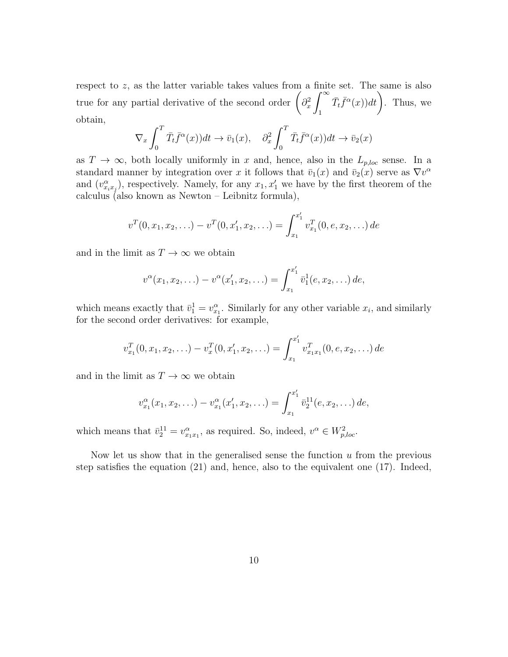respect to z, as the latter variable takes values from a finite set. The same is also true for any partial derivative of the second order  $\int \partial_x^2$  $\int^{\infty}$ 1  $(\bar{T}_t \bar{f}^{\alpha}(x)) dt$ . Thus, we obtain,

$$
\nabla_x \int_0^T \bar{T}_t \bar{f}^\alpha(x) dt \to \bar{v}_1(x), \quad \partial_x^2 \int_0^T \bar{T}_t \bar{f}^\alpha(x) dt \to \bar{v}_2(x)
$$

as  $T \to \infty$ , both locally uniformly in x and, hence, also in the  $L_{p,loc}$  sense. In a standard manner by integration over x it follows that  $\bar{v}_1(x)$  and  $\bar{v}_2(x)$  serve as  $\nabla v^{\alpha}$ and  $(v_{x_ix_j}^{\alpha})$ , respectively. Namely, for any  $x_1, x_1'$  we have by the first theorem of the calculus (also known as Newton – Leibnitz formula),

$$
v^{T}(0, x_{1}, x_{2}, \ldots) - v^{T}(0, x_{1}', x_{2}, \ldots) = \int_{x_{1}}^{x_{1}'} v_{x_{1}}^{T}(0, e, x_{2}, \ldots) de
$$

and in the limit as  $T \to \infty$  we obtain

$$
v^{\alpha}(x_1, x_2, \ldots) - v^{\alpha}(x'_1, x_2, \ldots) = \int_{x_1}^{x'_1} \bar{v}_1^1(e, x_2, \ldots) de,
$$

which means exactly that  $\bar{v}_1^1 = v_{x_1}^{\alpha}$ . Similarly for any other variable  $x_i$ , and similarly for the second order derivatives: for example,

$$
v_{x_1}^T(0, x_1, x_2, \ldots) - v_x^T(0, x_1', x_2, \ldots) = \int_{x_1}^{x_1'} v_{x_1x_1}^T(0, e, x_2, \ldots) de
$$

and in the limit as  $T \to \infty$  we obtain

$$
v_{x_1}^{\alpha}(x_1, x_2, \ldots) - v_{x_1}^{\alpha}(x'_1, x_2, \ldots) = \int_{x_1}^{x'_1} \bar{v}_2^{11}(e, x_2, \ldots) de,
$$

which means that  $\bar{v}_2^{11} = v_{x_1x_1}^{\alpha}$ , as required. So, indeed,  $v^{\alpha} \in W_{p,loc}^2$ .

Now let us show that in the generalised sense the function  $u$  from the previous step satisfies the equation (21) and, hence, also to the equivalent one (17). Indeed,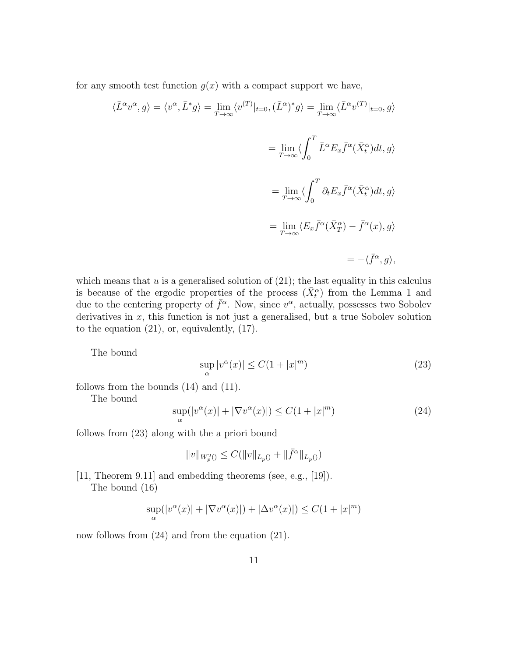for any smooth test function  $g(x)$  with a compact support we have,

$$
\langle \bar{L}^{\alpha}v^{\alpha},g\rangle = \langle v^{\alpha},\bar{L}^{*}g\rangle = \lim_{T\to\infty}\langle v^{(T)}|_{t=0},(\bar{L}^{\alpha})^{*}g\rangle = \lim_{T\to\infty}\langle \bar{L}^{\alpha}v^{(T)}|_{t=0},g\rangle
$$
  

$$
= \lim_{T\to\infty}\langle \int_{0}^{T}\bar{L}^{\alpha}E_{x}\bar{f}^{\alpha}(\bar{X}_{t}^{\alpha})dt,g\rangle
$$
  

$$
= \lim_{T\to\infty}\langle \int_{0}^{T}\partial_{t}E_{x}\bar{f}^{\alpha}(\bar{X}_{t}^{\alpha})dt,g\rangle
$$
  

$$
= \lim_{T\to\infty}\langle E_{x}\bar{f}^{\alpha}(\bar{X}_{T}^{\alpha}) - \bar{f}^{\alpha}(x),g\rangle
$$
  

$$
= -\langle \bar{f}^{\alpha},g\rangle,
$$

which means that  $u$  is a generalised solution of  $(21)$ ; the last equality in this calculus is because of the ergodic properties of the process  $(\bar{X}_{t}^{\alpha})$  from the Lemma 1 and due to the centering property of  $\bar{f}^{\alpha}$ . Now, since  $v^{\alpha}$ , actually, possesses two Sobolev derivatives in  $x$ , this function is not just a generalised, but a true Sobolev solution to the equation (21), or, equivalently, (17).

The bound

$$
\sup_{\alpha} |v^{\alpha}(x)| \le C(1 + |x|^m)
$$
\n(23)

follows from the bounds (14) and (11).

The bound

$$
\sup_{\alpha}(|v^{\alpha}(x)| + |\nabla v^{\alpha}(x)|) \le C(1 + |x|^m)
$$
\n(24)

follows from (23) along with the a priori bound

$$
\|v\|_{W^2_p(\tt)}\leq C(\|v\|_{L_p(\tt)}+\|\bar f^\alpha\|_{L_p(\tt)})
$$

[11, Theorem 9.11] and embedding theorems (see, e.g., [19]).

The bound (16)

$$
\sup_{\alpha}(|v^{\alpha}(x)| + |\nabla v^{\alpha}(x)|) + |\Delta v^{\alpha}(x)|) \le C(1 + |x|^m)
$$

now follows from  $(24)$  and from the equation  $(21)$ .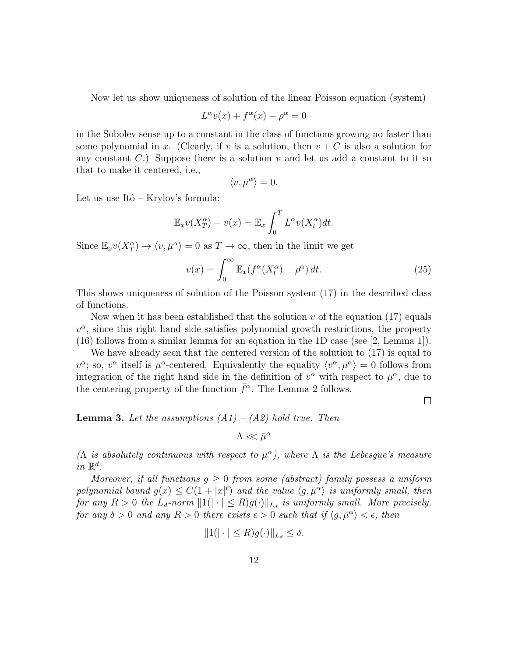Now let us show uniqueness of solution of the linear Poisson equation (system)

$$
L^{\alpha}v(x) + f^{\alpha}(x) - \rho^{\alpha} = 0
$$

in the Sobolev sense up to a constant in the class of functions growing no faster than some polynomial in x. (Clearly, if v is a solution, then  $v + C$  is also a solution for any constant  $C$ .) Suppose there is a solution  $v$  and let us add a constant to it so that to make it centered, i.e.,

$$
\langle v, \mu^{\alpha} \rangle = 0.
$$

Let us use Itô – Krylov's formula:

$$
\mathbb{E}_x v(X_T^{\alpha}) - v(x) = \mathbb{E}_x \int_0^T L^{\alpha} v(X_t^{\alpha}) dt.
$$

Since  $\mathbb{E}_x v(X_T^{\alpha}) \to \langle v, \mu^{\alpha} \rangle = 0$  as  $T \to \infty$ , then in the limit we get

$$
v(x) = \int_0^\infty \mathbb{E}_x (f^\alpha (X_t^\alpha) - \rho^\alpha) dt.
$$
 (25)

This shows uniqueness of solution of the Poisson system (17) in the described class of functions.

Now when it has been established that the solution  $v$  of the equation (17) equals  $v^{\alpha}$ , since this right hand side satisfies polynomial growth restrictions, the property (16) follows from a similar lemma for an equation in the 1D case (see [2, Lemma 1]).

We have already seen that the centered version of the solution to  $(17)$  is equal to  $v^{\alpha}$ ; so,  $v^{\alpha}$  itself is  $\mu^{\alpha}$ -centered. Equivalently the equality  $\langle v^{\alpha}, \mu^{\alpha} \rangle = 0$  follows from integration of the right hand side in the definition of  $v^{\alpha}$  with respect to  $\mu^{\alpha}$ , due to the centering property of the function  $\bar{f}^{\alpha}$ . The Lemma 2 follows.

 $\Box$ 

**Lemma 3.** Let the assumptions  $(A1) - (A2)$  hold true. Then

$$
\Lambda \ll \bar{\mu}^{\alpha}
$$

( $\Lambda$  is absolutely continuous with respect to  $\mu^{\alpha}$ ), where  $\Lambda$  is the Lebesgue's measure in  $\mathbb{R}^d$ .

Moreover, if all functions  $g \geq 0$  from some (abstract) family possess a uniform polynomial bound  $g(x) \leq C(1+|x|^{\ell})$  and the value  $\langle g, \bar{\mu}^{\alpha} \rangle$  is uniformly small, then for any  $R > 0$  the  $L_d$ -norm  $||1(|| \cdot || \leq R)g(\cdot)||_{L_d}$  is uniformly small. More precisely, for any  $\delta > 0$  and any  $R > 0$  there exists  $\epsilon > 0$  such that if  $\langle g, \bar{\mu}^{\alpha} \rangle < \epsilon$ , then

$$
||1(||\cdot| \le R)g(\cdot)||_{L_d} \le \delta.
$$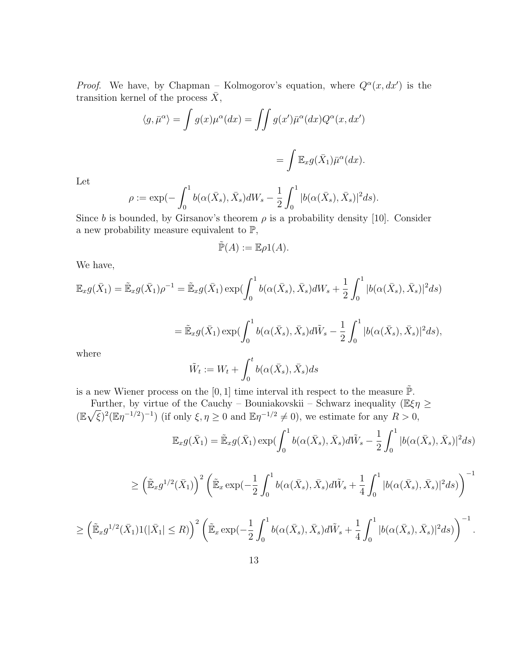*Proof.* We have, by Chapman – Kolmogorov's equation, where  $Q^{\alpha}(x, dx')$  is the transition kernel of the process  $\bar{X}$ ,

$$
\langle g, \bar{\mu}^{\alpha} \rangle = \int g(x) \mu^{\alpha}(dx) = \iint g(x') \bar{\mu}^{\alpha}(dx) Q^{\alpha}(x, dx')
$$

$$
= \int \mathbb{E}_x g(\bar{X}_1) \bar{\mu}^{\alpha}(dx).
$$

Let

$$
\rho := \exp\left(-\int_0^1 b(\alpha(\bar{X}_s), \bar{X}_s)dW_s - \frac{1}{2}\int_0^1 |b(\alpha(\bar{X}_s), \bar{X}_s)|^2 ds\right).
$$

Since b is bounded, by Girsanov's theorem  $\rho$  is a probability density [10]. Consider a new probability measure equivalent to  $\mathbb{P},$ 

$$
\tilde{\mathbb{P}}(A) := \mathbb{E}\rho 1(A).
$$

We have,

$$
\mathbb{E}_x g(\bar{X}_1) = \tilde{\mathbb{E}}_x g(\bar{X}_1) \rho^{-1} = \tilde{\mathbb{E}}_x g(\bar{X}_1) \exp\left(\int_0^1 b(\alpha(\bar{X}_s), \bar{X}_s) dW_s + \frac{1}{2} \int_0^1 |b(\alpha(\bar{X}_s), \bar{X}_s)|^2 ds\right)
$$
  
\n
$$
= \tilde{\mathbb{E}}_x g(\bar{X}_1) \exp\left(\int_0^1 b(\alpha(\bar{X}_s), \bar{X}_s) d\tilde{W}_s - \frac{1}{2} \int_0^1 |b(\alpha(\bar{X}_s), \bar{X}_s)|^2 ds\right),
$$
  
\nwhere

$$
\tilde{W}_t := W_t + \int_0^t b(\alpha(\bar{X}_s), \bar{X}_s) ds
$$

is a new Wiener process on the [0, 1] time interval ith respect to the measure  $\tilde{\mathbb{P}}$ .

Further, by virtue of the Cauchy – Bouniakovskii – Schwarz inequality ( $\mathbb{E}\xi\eta \geq$  $(\mathbb{E}\sqrt{\xi})^2(\mathbb{E}\eta^{-1/2})^{-1})$  (if only  $\xi, \eta \geq 0$  and  $\mathbb{E}\eta^{-1/2} \neq 0$ ), we estimate for any  $R > 0$ ,  $\mathbb{E}_x g(\bar X_1) = \tilde{\mathbb{E}}_x g(\bar X_1) \exp(\int^1$  $\boldsymbol{0}$  $b(\alpha(\bar{X}_s), \bar{X}_s)d\tilde{W}_s - \frac{1}{2}$ 2  $\int_0^1$ 0  $|b(\alpha(\bar{X}_s), \bar{X}_s)|^2 ds)$ 

$$
\geq \left(\tilde{\mathbb{E}}_x g^{1/2}(\bar{X}_1)\right)^2 \left(\tilde{\mathbb{E}}_x \exp(-\frac{1}{2} \int_0^1 b(\alpha(\bar{X}_s), \bar{X}_s) d\tilde{W}_s + \frac{1}{4} \int_0^1 |b(\alpha(\bar{X}_s), \bar{X}_s)|^2 ds)\right)^{-1}
$$

$$
\geq \left(\tilde{\mathbb{E}}_x g^{1/2}(\bar{X}_1)\mathbb{1}(|\bar{X}_1| \leq R)\right)^2 \left(\tilde{\mathbb{E}}_x \exp\left(-\frac{1}{2}\int_0^1 b(\alpha(\bar{X}_s), \bar{X}_s)d\tilde{W}_s + \frac{1}{4}\int_0^1 |b(\alpha(\bar{X}_s), \bar{X}_s)|^2 ds\right)\right)^{-1}.
$$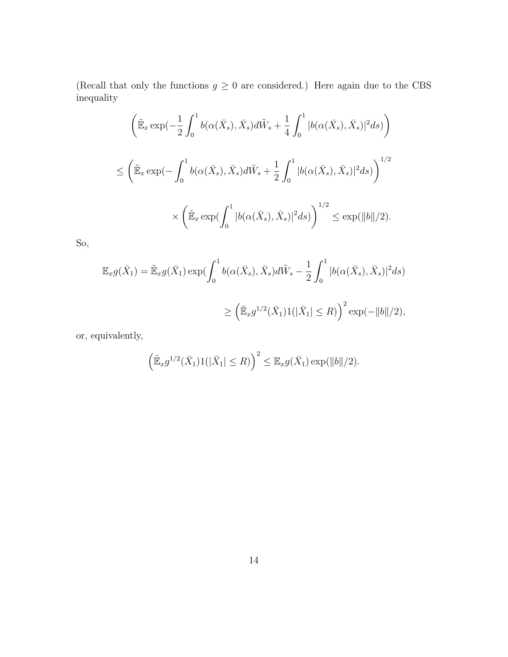(Recall that only the functions  $g \ge 0$  are considered.) Here again due to the CBS inequality

$$
\begin{aligned}\n&\left(\tilde{\mathbb{E}}_x \exp\left(-\frac{1}{2} \int_0^1 b(\alpha(\bar{X}_s), \bar{X}_s) d\tilde{W}_s + \frac{1}{4} \int_0^1 |b(\alpha(\bar{X}_s), \bar{X}_s)|^2 ds\right)\right) \\
&\leq \left(\tilde{\mathbb{E}}_x \exp\left(-\int_0^1 b(\alpha(\bar{X}_s), \bar{X}_s) d\tilde{W}_s + \frac{1}{2} \int_0^1 |b(\alpha(\bar{X}_s), \bar{X}_s)|^2 ds\right)\right)^{1/2} \\
&\times \left(\tilde{\mathbb{E}}_x \exp\left(\int_0^1 |b(\alpha(\bar{X}_s), \bar{X}_s)|^2 ds\right)\right)^{1/2} \leq \exp(\|b\|/2).\n\end{aligned}
$$

So,

$$
\mathbb{E}_x g(\bar{X}_1) = \tilde{\mathbb{E}}_x g(\bar{X}_1) \exp\left(\int_0^1 b(\alpha(\bar{X}_s), \bar{X}_s) d\tilde{W}_s - \frac{1}{2} \int_0^1 |b(\alpha(\bar{X}_s), \bar{X}_s)|^2 ds\right)
$$
  

$$
\geq \left(\tilde{\mathbb{E}}_x g^{1/2}(\bar{X}_1) 1(|\bar{X}_1| \leq R)\right)^2 \exp(-\|b\|/2),
$$

or, equivalently,

$$
\left(\tilde{\mathbb{E}}_x g^{1/2}(\bar{X}_1)1(|\bar{X}_1| \leq R)\right)^2 \leq \mathbb{E}_x g(\bar{X}_1) \exp(\|b\|/2).
$$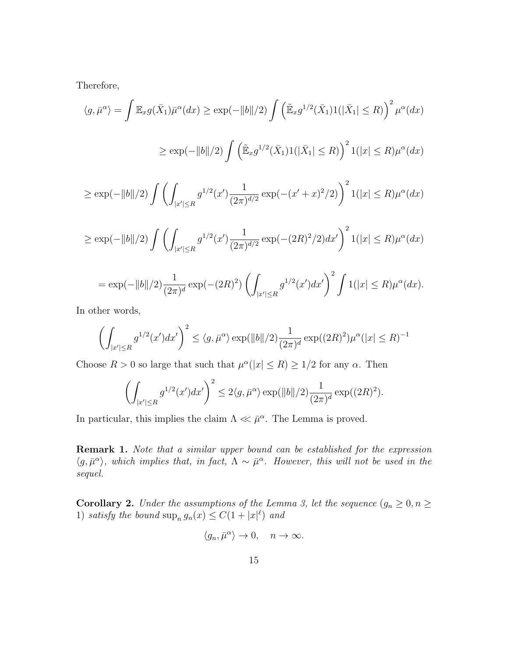Therefore,

$$
\langle g, \bar{\mu}^{\alpha} \rangle = \int \mathbb{E}_x g(\bar{X}_1) \bar{\mu}^{\alpha}(dx) \ge \exp(-\|b\|/2) \int \left( \tilde{\mathbb{E}}_x g^{1/2}(\bar{X}_1) 1(|\bar{X}_1| \le R) \right)^2 \mu^{\alpha}(dx)
$$
  

$$
\ge \exp(-\|b\|/2) \int \left( \tilde{\mathbb{E}}_x g^{1/2}(\bar{X}_1) 1(|\bar{X}_1| \le R) \right)^2 1(|x| \le R) \mu^{\alpha}(dx)
$$

$$
\geq \exp(-||b||/2) \int \left( \int_{|x'| \leq R} g^{1/2}(x') \frac{1}{(2\pi)^{d/2}} \exp(-(x'+x)^2/2) \right)^2 1(|x| \leq R) \mu^{\alpha}(dx)
$$

$$
\geq \exp(-\|b\|/2) \int \left( \int_{|x'| \leq R} g^{1/2}(x') \frac{1}{(2\pi)^{d/2}} \exp(-(2R)^2/2) dx' \right)^2 1(|x| \leq R) \mu^{\alpha}(dx)
$$

$$
= \exp(-\|b\|/2) \frac{1}{(2\pi)^d} \exp(-(2R)^2) \left( \int_{|x'| \le R} g^{1/2}(x') dx' \right)^2 \int 1(|x| \le R) \mu^{\alpha}(dx).
$$

In other words,

$$
\left(\int_{|x'|\leq R} g^{1/2}(x') dx'\right)^2 \leq \langle g, \bar{\mu}^{\alpha} \rangle \exp(||b||/2) \frac{1}{(2\pi)^d} \exp((2R)^2) \mu^{\alpha}(|x| \leq R)^{-1}
$$

Choose  $R > 0$  so large that such that  $\mu^{\alpha}(|x| \leq R) \geq 1/2$  for any  $\alpha$ . Then

$$
\left(\int_{|x'|\leq R} g^{1/2}(x')dx'\right)^2 \leq 2\langle g,\bar{\mu}^{\alpha}\rangle \exp(\|b\|/2)\frac{1}{(2\pi)^d}\exp((2R)^2).
$$

In particular, this implies the claim  $\Lambda \ll \bar{\mu}^{\alpha}$ . The Lemma is proved.

**Remark 1.** Note that a similar upper bound can be established for the expression  $\langle g, \bar{\mu}^{\alpha} \rangle$ , which implies that, in fact,  $\Lambda \sim \bar{\mu}^{\alpha}$ . However, this will not be used in the sequel.

**Corollary 2.** Under the assumptions of the Lemma 3, let the sequence  $(g_n \geq 0, n \geq 0)$ 1) satisfy the bound  $\sup_n g_n(x) \leq C(1+|x|^{\ell})$  and

$$
\langle g_n, \bar{\mu}^{\alpha} \rangle \to 0, \quad n \to \infty.
$$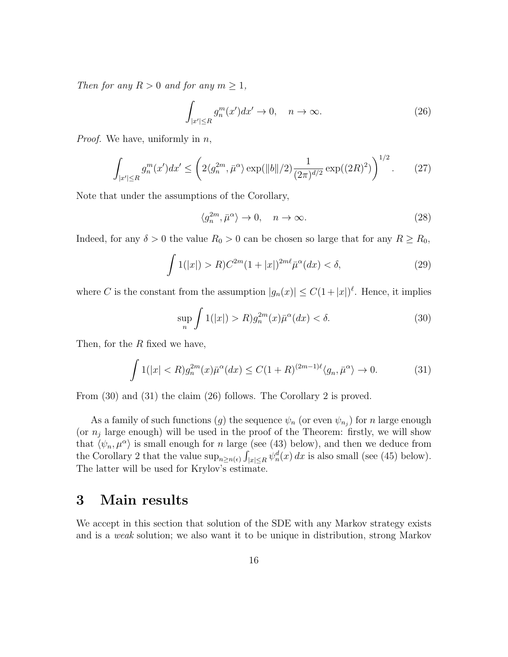Then for any  $R > 0$  and for any  $m \geq 1$ ,

$$
\int_{|x'| \le R} g_n^m(x') dx' \to 0, \quad n \to \infty. \tag{26}
$$

*Proof.* We have, uniformly in  $n$ ,

$$
\int_{|x'| \le R} g_n^m(x') dx' \le \left( 2 \langle g_n^{2m}, \bar{\mu}^{\alpha} \rangle \exp(\|b\|/2) \frac{1}{(2\pi)^{d/2}} \exp((2R)^2) \right)^{1/2} . \tag{27}
$$

Note that under the assumptions of the Corollary,

$$
\langle g_n^{2m}, \bar{\mu}^{\alpha} \rangle \to 0, \quad n \to \infty. \tag{28}
$$

Indeed, for any  $\delta > 0$  the value  $R_0 > 0$  can be chosen so large that for any  $R \ge R_0$ ,

$$
\int 1(|x|) > R) C^{2m} (1+|x|)^{2m\ell} \bar{\mu}^{\alpha}(dx) < \delta,\tag{29}
$$

where C is the constant from the assumption  $|g_n(x)| \leq C(1+|x|)^{\ell}$ . Hence, it implies

$$
\sup_{n} \int 1(|x|) > R) g_n^{2m}(x) \bar{\mu}^{\alpha}(dx) < \delta. \tag{30}
$$

Then, for the  $R$  fixed we have,

$$
\int 1(|x| < R) g_n^{2m}(x) \bar{\mu}^{\alpha}(dx) \le C(1+R)^{(2m-1)\ell} \langle g_n, \bar{\mu}^{\alpha} \rangle \to 0. \tag{31}
$$

From  $(30)$  and  $(31)$  the claim  $(26)$  follows. The Corollary 2 is proved.

As a family of such functions  $(g)$  the sequence  $\psi_n$  (or even  $\psi_{n_j}$ ) for n large enough (or  $n_j$  large enough) will be used in the proof of the Theorem: firstly, we will show that  $\langle \psi_n, \mu^\alpha \rangle$  is small enough for n large (see (43) below), and then we deduce from the Corollary 2 that the value  $\sup_{n\geq n(\epsilon)} \int_{|x|\leq R} \psi_n^d(x) dx$  is also small (see (45) below). The latter will be used for Krylov's estimate.

#### 3 Main results

We accept in this section that solution of the SDE with any Markov strategy exists and is a weak solution; we also want it to be unique in distribution, strong Markov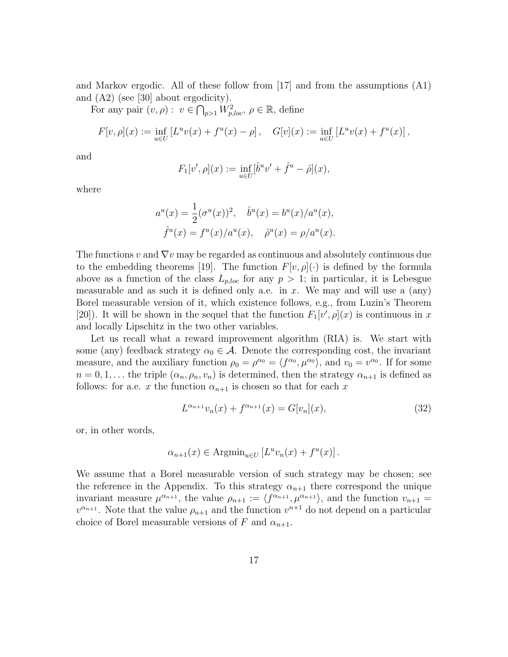and Markov ergodic. All of these follow from [17] and from the assumptions (A1) and (A2) (see [30] about ergodicity).

For any pair  $(v, \rho) : v \in \bigcap_{p>1} W_{p,loc}^2, \rho \in \mathbb{R}$ , define

$$
F[v,\rho](x) := \inf_{u \in U} \left[ L^u v(x) + f^u(x) - \rho \right], \quad G[v](x) := \inf_{u \in U} \left[ L^u v(x) + f^u(x) \right],
$$

and

$$
F_1[v', \rho](x) := \inf_{u \in U} \left[\hat{b}^u v' + \hat{f}^u - \hat{\rho}\right](x),
$$

where

$$
a^{u}(x) = \frac{1}{2} (\sigma^{u}(x))^{2}, \quad \hat{b}^{u}(x) = b^{u}(x) / a^{u}(x),
$$
  

$$
\hat{f}^{u}(x) = f^{u}(x) / a^{u}(x), \quad \hat{\rho}^{u}(x) = \rho / a^{u}(x).
$$

The functions v and  $\nabla v$  may be regarded as continuous and absolutely continuous due to the embedding theorems [19]. The function  $F[v, \rho](\cdot)$  is defined by the formula above as a function of the class  $L_{p,loc}$  for any  $p > 1$ ; in particular, it is Lebesgue measurable and as such it is defined only a.e. in x. We may and will use a  $\langle \text{any} \rangle$ Borel measurable version of it, which existence follows, e.g., from Luzin's Theorem [20]). It will be shown in the sequel that the function  $F_1[v', \rho](x)$  is continuous in x and locally Lipschitz in the two other variables.

Let us recall what a reward improvement algorithm  $(RIA)$  is. We start with some (any) feedback strategy  $\alpha_0 \in \mathcal{A}$ . Denote the corresponding cost, the invariant measure, and the auxiliary function  $\rho_0 = \rho^{\alpha_0} = \langle f^{\alpha_0}, \mu^{\alpha_0} \rangle$ , and  $v_0 = v^{\alpha_0}$ . If for some  $n = 0, 1, \ldots$  the triple  $(\alpha_n, \rho_n, v_n)$  is determined, then the strategy  $\alpha_{n+1}$  is defined as follows: for a.e. x the function  $\alpha_{n+1}$  is chosen so that for each x

$$
L^{\alpha_{n+1}}v_n(x) + f^{\alpha_{n+1}}(x) = G[v_n](x),
$$
\n(32)

or, in other words,

$$
\alpha_{n+1}(x) \in \text{Argmin}_{u \in U} \left[ L^u v_n(x) + f^u(x) \right].
$$

We assume that a Borel measurable version of such strategy may be chosen; see the reference in the Appendix. To this strategy  $\alpha_{n+1}$  there correspond the unique invariant measure  $\mu^{\alpha_{n+1}}$ , the value  $\rho_{n+1} := \langle f^{\alpha_{n+1}}, \mu^{\alpha_{n+1}} \rangle$ , and the function  $v_{n+1} =$  $v^{\alpha_{n+1}}$ . Note that the value  $\rho_{n+1}$  and the function  $v^{n+1}$  do not depend on a particular choice of Borel measurable versions of F and  $\alpha_{n+1}$ .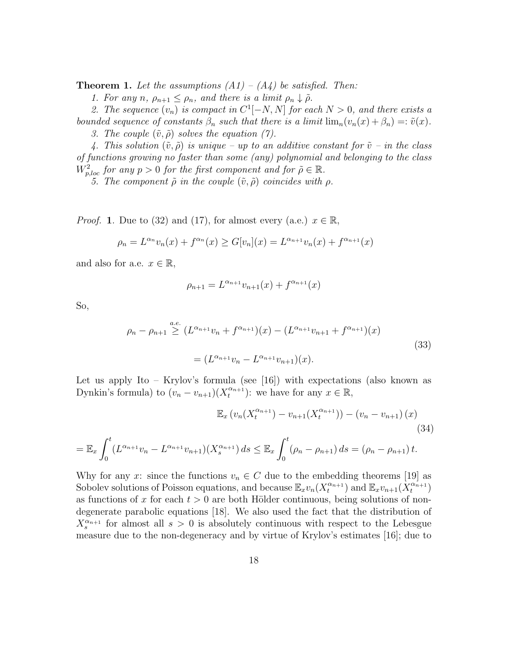**Theorem 1.** Let the assumptions  $(A1) - (A4)$  be satisfied. Then:

1. For any n,  $\rho_{n+1} \leq \rho_n$ , and there is a limit  $\rho_n \downarrow \tilde{\rho}$ .

2. The sequence  $(v_n)$  is compact in  $C^1[-N, N]$  for each  $N > 0$ , and there exists a bounded sequence of constants  $\beta_n$  such that there is a limit  $\lim_n (v_n(x) + \beta_n) =: \tilde{v}(x)$ .

3. The couple  $(\tilde{v}, \tilde{\rho})$  solves the equation (7).

4. This solution  $(\tilde{v}, \tilde{\rho})$  is unique – up to an additive constant for  $\tilde{v}$  – in the class of functions growing no faster than some (any) polynomial and belonging to the class  $W_{p,loc}^2$  for any  $p > 0$  for the first component and for  $\tilde{\rho} \in \mathbb{R}$ .

5. The component  $\tilde{\rho}$  in the couple  $(\tilde{v}, \tilde{\rho})$  coincides with  $\rho$ .

*Proof.* 1. Due to (32) and (17), for almost every (a.e.)  $x \in \mathbb{R}$ ,

$$
\rho_n = L^{\alpha_n} v_n(x) + f^{\alpha_n}(x) \ge G[v_n](x) = L^{\alpha_{n+1}} v_n(x) + f^{\alpha_{n+1}}(x)
$$

and also for a.e.  $x \in \mathbb{R}$ ,

$$
\rho_{n+1} = L^{\alpha_{n+1}} v_{n+1}(x) + f^{\alpha_{n+1}}(x)
$$

So,

$$
\rho_n - \rho_{n+1} \ge (L^{\alpha_{n+1}}v_n + f^{\alpha_{n+1}})(x) - (L^{\alpha_{n+1}}v_{n+1} + f^{\alpha_{n+1}})(x)
$$
  
=  $(L^{\alpha_{n+1}}v_n - L^{\alpha_{n+1}}v_{n+1})(x).$  (33)

Let us apply Ito – Krylov's formula (see [16]) with expectations (also known as Dynkin's formula) to  $(v_n - v_{n+1})(X_t^{\alpha_{n+1}})$  $\binom{\alpha_{n+1}}{t}$ : we have for any  $x \in \mathbb{R}$ ,

$$
\mathbb{E}_x \left( v_n(X_t^{\alpha_{n+1}}) - v_{n+1}(X_t^{\alpha_{n+1}}) \right) - \left( v_n - v_{n+1} \right)(x)
$$
\n
$$
= \mathbb{E}_x \int_0^t (L^{\alpha_{n+1}} v_n - L^{\alpha_{n+1}} v_{n+1})(X_s^{\alpha_{n+1}}) ds \le \mathbb{E}_x \int_0^t (\rho_n - \rho_{n+1}) ds = (\rho_n - \rho_{n+1}) t.
$$
\n(34)

Why for any x: since the functions  $v_n \in C$  due to the embedding theorems [19] as Sobolev solutions of Poisson equations, and because  $\mathbb{E}_x v_n(X_t^{\alpha_{n+1}})$  $\mathcal{L}_t^{\alpha_{n+1}}$ ) and  $\mathbb{E}_x v_{n+1} (X_t^{\alpha_{n+1}})$  $\binom{\alpha_{n+1}}{t}$ as functions of x for each  $t > 0$  are both Hölder continuous, being solutions of nondegenerate parabolic equations [18]. We also used the fact that the distribution of  $X_s^{\alpha_{n+1}}$  for almost all  $s > 0$  is absolutely continuous with respect to the Lebesgue measure due to the non-degeneracy and by virtue of Krylov's estimates [16]; due to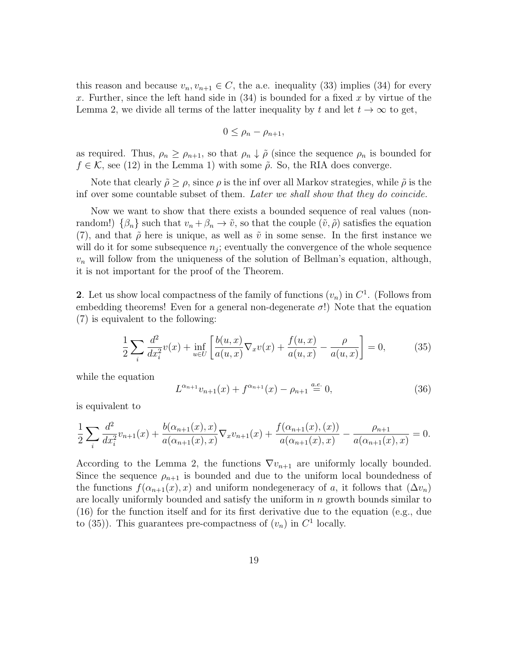this reason and because  $v_n, v_{n+1} \in C$ , the a.e. inequality (33) implies (34) for every x. Further, since the left hand side in  $(34)$  is bounded for a fixed x by virtue of the Lemma 2, we divide all terms of the latter inequality by t and let  $t \to \infty$  to get,

$$
0 \leq \rho_n - \rho_{n+1},
$$

as required. Thus,  $\rho_n \geq \rho_{n+1}$ , so that  $\rho_n \downarrow \tilde{\rho}$  (since the sequence  $\rho_n$  is bounded for  $f \in \mathcal{K}$ , see (12) in the Lemma 1) with some  $\tilde{\rho}$ . So, the RIA does converge.

Note that clearly  $\tilde{\rho} \geq \rho$ , since  $\rho$  is the inf over all Markov strategies, while  $\tilde{\rho}$  is the inf over some countable subset of them. Later we shall show that they do coincide.

Now we want to show that there exists a bounded sequence of real values (nonrandom!)  $\{\beta_n\}$  such that  $v_n + \beta_n \to \tilde{v}$ , so that the couple  $(\tilde{v}, \tilde{\rho})$  satisfies the equation (7), and that  $\tilde{\rho}$  here is unique, as well as  $\tilde{v}$  in some sense. In the first instance we will do it for some subsequence  $n_j$ ; eventually the convergence of the whole sequence  $v_n$  will follow from the uniqueness of the solution of Bellman's equation, although, it is not important for the proof of the Theorem.

2. Let us show local compactness of the family of functions  $(v_n)$  in  $C^1$ . (Follows from embedding theorems! Even for a general non-degenerate  $\sigma$ !) Note that the equation (7) is equivalent to the following:

$$
\frac{1}{2} \sum_{i} \frac{d^{2}}{dx_{i}^{2}} v(x) + \inf_{u \in U} \left[ \frac{b(u, x)}{a(u, x)} \nabla_{x} v(x) + \frac{f(u, x)}{a(u, x)} - \frac{\rho}{a(u, x)} \right] = 0, \quad (35)
$$

while the equation

$$
L^{\alpha_{n+1}}v_{n+1}(x) + f^{\alpha_{n+1}}(x) - \rho_{n+1} \stackrel{a.e.}{=} 0,
$$
\n(36)

is equivalent to

$$
\frac{1}{2} \sum_{i} \frac{d^{2}}{dx_{i}^{2}} v_{n+1}(x) + \frac{b(\alpha_{n+1}(x), x)}{a(\alpha_{n+1}(x), x)} \nabla_{x} v_{n+1}(x) + \frac{f(\alpha_{n+1}(x), (x))}{a(\alpha_{n+1}(x), x)} - \frac{\rho_{n+1}}{a(\alpha_{n+1}(x), x)} = 0.
$$

According to the Lemma 2, the functions  $\nabla v_{n+1}$  are uniformly locally bounded. Since the sequence  $\rho_{n+1}$  is bounded and due to the uniform local boundedness of the functions  $f(\alpha_{n+1}(x), x)$  and uniform nondegeneracy of a, it follows that  $(\Delta v_n)$ are locally uniformly bounded and satisfy the uniform in  $n$  growth bounds similar to (16) for the function itself and for its first derivative due to the equation (e.g., due to (35)). This guarantees pre-compactness of  $(v_n)$  in  $C^1$  locally.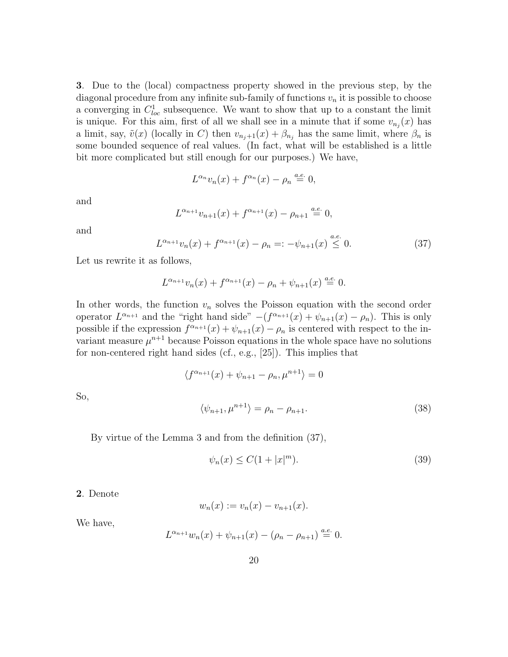3. Due to the (local) compactness property showed in the previous step, by the diagonal procedure from any infinite sub-family of functions  $v_n$  it is possible to choose a converging in  $C^1_{loc}$  subsequence. We want to show that up to a constant the limit is unique. For this aim, first of all we shall see in a minute that if some  $v_{n_j}(x)$  has a limit, say,  $\tilde{v}(x)$  (locally in C) then  $v_{n_j+1}(x) + \beta_{n_j}$  has the same limit, where  $\beta_n$  is some bounded sequence of real values. (In fact, what will be established is a little bit more complicated but still enough for our purposes.) We have,

$$
L^{\alpha_n}v_n(x) + f^{\alpha_n}(x) - \rho_n \stackrel{a.e.}{=} 0,
$$

and

$$
L^{\alpha_{n+1}}v_{n+1}(x) + f^{\alpha_{n+1}}(x) - \rho_{n+1} \stackrel{a.e.}{=} 0,
$$

and

So,

$$
L^{\alpha_{n+1}}v_n(x) + f^{\alpha_{n+1}}(x) - \rho_n =: -\psi_{n+1}(x) \stackrel{a.e.}{\leq} 0. \tag{37}
$$

Let us rewrite it as follows,

$$
L^{\alpha_{n+1}}v_n(x) + f^{\alpha_{n+1}}(x) - \rho_n + \psi_{n+1}(x) \stackrel{a.e.}{=} 0.
$$

In other words, the function  $v_n$  solves the Poisson equation with the second order operator  $L^{\alpha_{n+1}}$  and the "right hand side"  $-(f^{\alpha_{n+1}}(x) + \psi_{n+1}(x) - \rho_n)$ . This is only possible if the expression  $f^{\alpha_{n+1}}(x) + \psi_{n+1}(x) - \rho_n$  is centered with respect to the invariant measure  $\mu^{n+1}$  because Poisson equations in the whole space have no solutions for non-centered right hand sides (cf., e.g., [25]). This implies that

$$
\langle f^{\alpha_{n+1}}(x) + \psi_{n+1} - \rho_n, \mu^{n+1} \rangle = 0
$$
  

$$
\langle \psi_{n+1}, \mu^{n+1} \rangle = \rho_n - \rho_{n+1}.
$$
 (38)

By virtue of the Lemma 3 and from the definition (37),

$$
\psi_n(x) \le C(1+|x|^m). \tag{39}
$$

2. Denote

$$
w_n(x) := v_n(x) - v_{n+1}(x).
$$

We have,

$$
L^{\alpha_{n+1}}w_n(x) + \psi_{n+1}(x) - (\rho_n - \rho_{n+1}) \stackrel{a.e.}{=} 0.
$$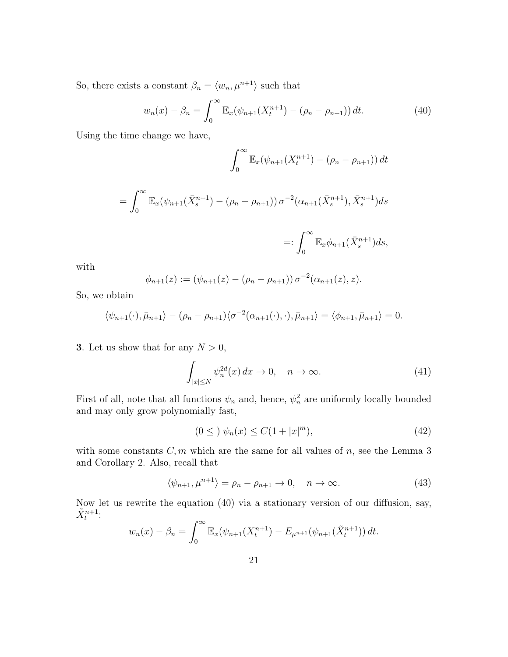So, there exists a constant  $\beta_n = \langle w_n, \mu^{n+1} \rangle$  such that

$$
w_n(x) - \beta_n = \int_0^\infty \mathbb{E}_x(\psi_{n+1}(X_t^{n+1}) - (\rho_n - \rho_{n+1})) dt.
$$
 (40)

Using the time change we have,

$$
\int_0^\infty \mathbb{E}_x(\psi_{n+1}(X_t^{n+1}) - (\rho_n - \rho_{n+1})) dt
$$
  
= 
$$
\int_0^\infty \mathbb{E}_x(\psi_{n+1}(\bar{X}_s^{n+1}) - (\rho_n - \rho_{n+1})) \sigma^{-2}(\alpha_{n+1}(\bar{X}_s^{n+1}), \bar{X}_s^{n+1}) ds
$$
  
=: 
$$
\int_0^\infty \mathbb{E}_x \phi_{n+1}(\bar{X}_s^{n+1}) ds,
$$

with

$$
\phi_{n+1}(z) := (\psi_{n+1}(z) - (\rho_n - \rho_{n+1})) \sigma^{-2}(\alpha_{n+1}(z), z).
$$

So, we obtain

$$
\langle \psi_{n+1}(\cdot), \bar{\mu}_{n+1} \rangle - (\rho_n - \rho_{n+1}) \langle \sigma^{-2}(\alpha_{n+1}(\cdot), \cdot), \bar{\mu}_{n+1} \rangle = \langle \phi_{n+1}, \bar{\mu}_{n+1} \rangle = 0.
$$

3. Let us show that for any  $N > 0$ ,

$$
\int_{|x| \le N} \psi_n^{2d}(x) dx \to 0, \quad n \to \infty.
$$
 (41)

0

First of all, note that all functions  $\psi_n$  and, hence,  $\psi_n^2$  are uniformly locally bounded and may only grow polynomially fast,

$$
(0 \leq ) \psi_n(x) \leq C(1+|x|^m), \tag{42}
$$

with some constants  $C, m$  which are the same for all values of  $n$ , see the Lemma 3 and Corollary 2. Also, recall that

$$
\langle \psi_{n+1}, \mu^{n+1} \rangle = \rho_n - \rho_{n+1} \to 0, \quad n \to \infty. \tag{43}
$$

Now let us rewrite the equation (40) via a stationary version of our diffusion, say,  $\tilde{X}_t^{n+1}$ :

$$
w_n(x) - \beta_n = \int_0^\infty \mathbb{E}_x(\psi_{n+1}(X_t^{n+1}) - E_{\mu^{n+1}}(\psi_{n+1}(\tilde{X}_t^{n+1})) dt.
$$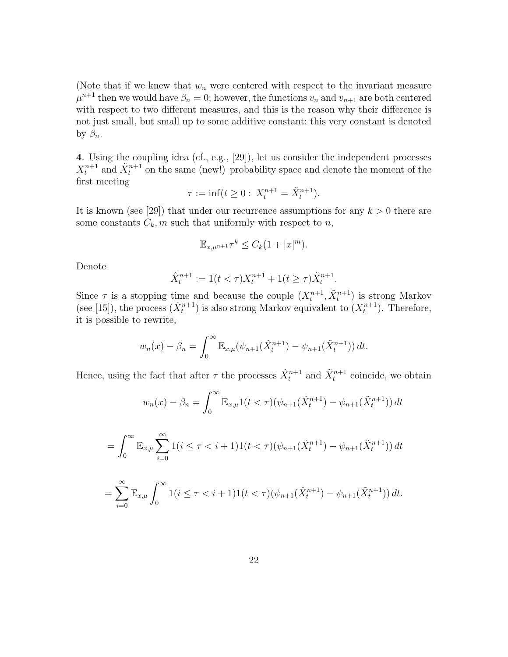(Note that if we knew that  $w_n$  were centered with respect to the invariant measure  $\mu^{n+1}$  then we would have  $\beta_n = 0$ ; however, the functions  $v_n$  and  $v_{n+1}$  are both centered with respect to two different measures, and this is the reason why their difference is not just small, but small up to some additive constant; this very constant is denoted by  $\beta_n$ .

4. Using the coupling idea (cf., e.g., [29]), let us consider the independent processes  $X_t^{n+1}$  and  $\tilde{X}_t^{n+1}$  on the same (new!) probability space and denote the moment of the first meeting

$$
\tau := \inf(t \ge 0: \, X_t^{n+1} = \tilde{X}_t^{n+1}).
$$

It is known (see [29]) that under our recurrence assumptions for any  $k > 0$  there are some constants  $C_k$ , m such that uniformly with respect to n,

$$
\mathbb{E}_{x,\mu^{n+1}}\tau^k \leq C_k(1+|x|^m).
$$

Denote

$$
\hat{X}_t^{n+1} := 1(t < \tau)X_t^{n+1} + 1(t \ge \tau)\tilde{X}_t^{n+1}.
$$

Since  $\tau$  is a stopping time and because the couple  $(X_t^{n+1}, \tilde{X}_t^{n+1})$  is strong Markov (see [15]), the process  $(\hat{X}_t^{n+1})$  is also strong Markov equivalent to  $(X_t^{n+1})$ . Therefore, it is possible to rewrite,

$$
w_n(x) - \beta_n = \int_0^\infty \mathbb{E}_{x,\mu}(\psi_{n+1}(\hat{X}_t^{n+1}) - \psi_{n+1}(\tilde{X}_t^{n+1})) dt.
$$

Hence, using the fact that after  $\tau$  the processes  $\hat{X}^{n+1}_t$  and  $\tilde{X}^{n+1}_t$  coincide, we obtain

$$
w_n(x) - \beta_n = \int_0^\infty \mathbb{E}_{x,\mu} 1(t < \tau) (\psi_{n+1}(\hat{X}_t^{n+1}) - \psi_{n+1}(\tilde{X}_t^{n+1})) dt
$$

$$
= \int_0^\infty \mathbb{E}_{x,\mu} \sum_{i=0}^\infty 1(i \le \tau < i+1) 1(t < \tau) (\psi_{n+1}(\hat{X}_t^{n+1}) - \psi_{n+1}(\tilde{X}_t^{n+1})) dt
$$

$$
= \sum_{i=0}^{\infty} \mathbb{E}_{x,\mu} \int_0^{\infty} 1(i \leq \tau < i+1) 1(t < \tau) (\psi_{n+1}(\hat{X}_t^{n+1}) - \psi_{n+1}(\tilde{X}_t^{n+1})) dt.
$$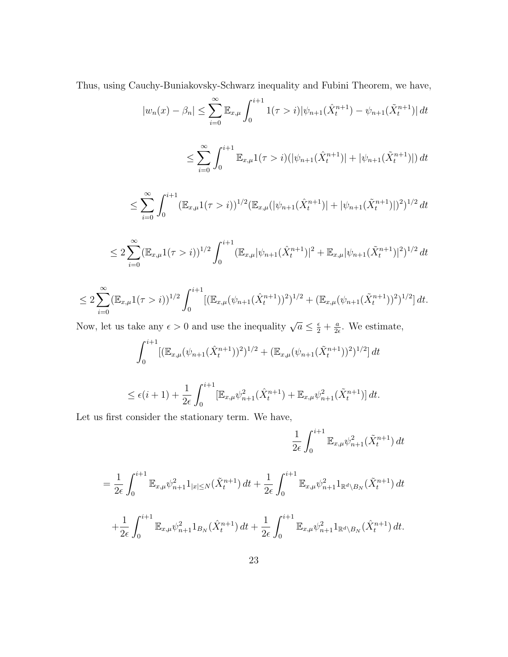Thus, using Cauchy-Buniakovsky-Schwarz inequality and Fubini Theorem, we have,

$$
|w_n(x) - \beta_n| \le \sum_{i=0}^{\infty} \mathbb{E}_{x,\mu} \int_0^{i+1} 1(\tau > i) |\psi_{n+1}(\hat{X}_t^{n+1}) - \psi_{n+1}(\tilde{X}_t^{n+1})| dt
$$

$$
\leq \sum_{i=0}^{\infty} \int_{0}^{i+1} \mathbb{E}_{x,\mu} 1(\tau > i) \left( |\psi_{n+1}(\hat{X}_{t}^{n+1})| + |\psi_{n+1}(\tilde{X}_{t}^{n+1})| \right) dt
$$

$$
\leq \sum_{i=0}^{\infty} \int_0^{i+1} (\mathbb{E}_{x,\mu} 1(\tau > i))^{1/2} (\mathbb{E}_{x,\mu} (|\psi_{n+1}(\hat{X}_t^{n+1})| + |\psi_{n+1}(\tilde{X}_t^{n+1})|)^2)^{1/2} dt
$$

$$
\leq 2\sum_{i=0}^{\infty} (\mathbb{E}_{x,\mu}1(\tau > i))^{1/2} \int_0^{i+1} (\mathbb{E}_{x,\mu}|\psi_{n+1}(\hat{X}_t^{n+1})|^2 + \mathbb{E}_{x,\mu}|\psi_{n+1}(\tilde{X}_t^{n+1})|^2)^{1/2} dt
$$

$$
\leq 2\sum_{i=0}^{\infty}(\mathbb{E}_{x,\mu}1(\tau>i))^{1/2}\int_{0}^{i+1}[(\mathbb{E}_{x,\mu}(\psi_{n+1}(\hat{X}_{t}^{n+1}))^{2})^{1/2}+(\mathbb{E}_{x,\mu}(\psi_{n+1}(\tilde{X}_{t}^{n+1}))^{2})^{1/2}]\,dt.
$$

Now, let us take any  $\epsilon > 0$  and use the inequality  $\sqrt{a} \leq \frac{\epsilon}{2} + \frac{a}{2\epsilon}$  $\frac{a}{2\epsilon}$ . We estimate,

$$
\int_0^{i+1} [(\mathbb{E}_{x,\mu}(\psi_{n+1}(\hat{X}_t^{n+1}))^2)^{1/2} + (\mathbb{E}_{x,\mu}(\psi_{n+1}(\tilde{X}_t^{n+1}))^2)^{1/2}] dt
$$

$$
\leq \epsilon(i+1) + \frac{1}{2\epsilon} \int_0^{i+1} [\mathbb{E}_{x,\mu} \psi_{n+1}^2(\hat{X}_t^{n+1}) + \mathbb{E}_{x,\mu} \psi_{n+1}^2(\tilde{X}_t^{n+1})] dt.
$$

Let us first consider the stationary term. We have,

$$
\frac{1}{2\epsilon} \int_0^{i+1} \mathbb{E}_{x,\mu} \psi_{n+1}^2(\tilde{X}_t^{n+1}) dt
$$

$$
= \frac{1}{2\epsilon} \int_0^{i+1} \mathbb{E}_{x,\mu} \psi_{n+1}^2 1_{|x| \le N}(\tilde{X}_t^{n+1}) dt + \frac{1}{2\epsilon} \int_0^{i+1} \mathbb{E}_{x,\mu} \psi_{n+1}^2 1_{\mathbb{R}^d \setminus B_N}(\tilde{X}_t^{n+1}) dt + \frac{1}{2\epsilon} \int_0^{i+1} \mathbb{E}_{x,\mu} \psi_{n+1}^2 1_{B_N}(\hat{X}_t^{n+1}) dt + \frac{1}{2\epsilon} \int_0^{i+1} \mathbb{E}_{x,\mu} \psi_{n+1}^2 1_{\mathbb{R}^d \setminus B_N}(\hat{X}_t^{n+1}) dt.
$$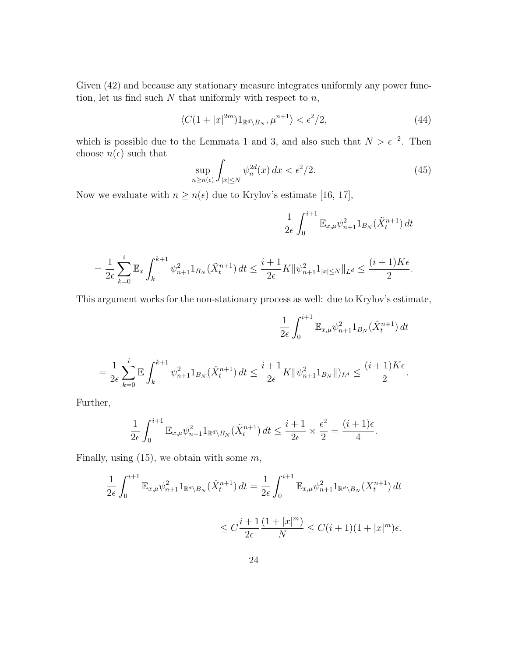Given  $(42)$  and because any stationary measure integrates uniformly any power function, let us find such  $N$  that uniformly with respect to  $n$ ,

$$
\langle C(1+|x|^{2m})1_{\mathbb{R}^d\setminus B_N}, \mu^{n+1}\rangle < \epsilon^2/2,\tag{44}
$$

which is possible due to the Lemmata 1 and 3, and also such that  $N > \epsilon^{-2}$ . Then choose  $n(\epsilon)$  such that  $\overline{a}$ 

$$
\sup_{n\geq n(\epsilon)} \int_{|x|\leq N} \psi_n^{2d}(x) dx < \epsilon^2/2.
$$
 (45)

Now we evaluate with  $n \ge n(\epsilon)$  due to Krylov's estimate [16, 17],

$$
\frac{1}{2\epsilon} \int_0^{i+1} \mathbb{E}_{x,\mu} \psi_{n+1}^2 1_{B_N}(\tilde{X}_t^{n+1}) dt
$$

$$
= \frac{1}{2\epsilon} \sum_{k=0}^i \mathbb{E}_x \int_k^{k+1} \psi_{n+1}^2 \mathbb{1}_{B_N}(\tilde{X}_t^{n+1}) dt \le \frac{i+1}{2\epsilon} K ||\psi_{n+1}^2 \mathbb{1}_{|x| \le N} ||_{L^d} \le \frac{(i+1)K\epsilon}{2}.
$$

This argument works for the non-stationary process as well: due to Krylov's estimate,

$$
\frac{1}{2\epsilon} \int_0^{i+1} \mathbb{E}_{x,\mu} \psi_{n+1}^2 \mathbb{1}_{B_N}(\hat{X}_t^{n+1}) dt
$$
  

$$
\frac{1}{2\epsilon} \sum_{k=0}^i \mathbb{E} \int_k^{k+1} \psi_{n+1}^2 \mathbb{1}_{B_N}(\hat{X}_t^{n+1}) dt \le \frac{i+1}{2\epsilon} K \|\psi_{n+1}^2 \mathbb{1}_{B_N}\|_{L^d} \le \frac{(i+1)K\epsilon}{2}.
$$

Further,

=

 $_{k=0}$ 

$$
\frac{1}{2\epsilon} \int_0^{i+1} \mathbb{E}_{x,\mu} \psi_{n+1}^2 1_{\mathbb{R}^d \setminus B_N}(\tilde{X}_t^{n+1}) dt \le \frac{i+1}{2\epsilon} \times \frac{\epsilon^2}{2} = \frac{(i+1)\epsilon}{4}.
$$

Finally, using  $(15)$ , we obtain with some  $m$ ,

$$
\frac{1}{2\epsilon} \int_0^{i+1} \mathbb{E}_{x,\mu} \psi_{n+1}^2 1_{\mathbb{R}^d \setminus B_N} (\hat{X}_t^{n+1}) dt = \frac{1}{2\epsilon} \int_0^{i+1} \mathbb{E}_{x,\mu} \psi_{n+1}^2 1_{\mathbb{R}^d \setminus B_N} (X_t^{n+1}) dt
$$
  

$$
\leq C \frac{i+1}{2\epsilon} \frac{(1+|x|^m)}{N} \leq C(i+1)(1+|x|^m)\epsilon.
$$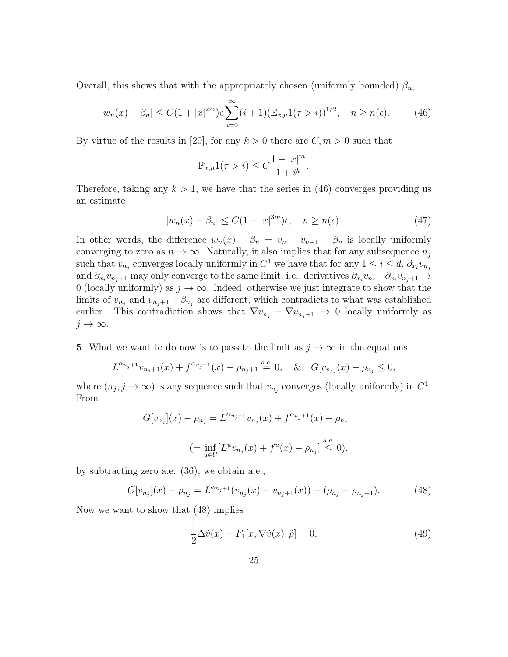Overall, this shows that with the appropriately chosen (uniformly bounded)  $\beta_n$ ,

$$
|w_n(x) - \beta_n| \le C(1 + |x|^{2m})\epsilon \sum_{i=0}^{\infty} (i+1) (\mathbb{E}_{x,\mu} 1(\tau > i))^{1/2}, \quad n \ge n(\epsilon). \tag{46}
$$

By virtue of the results in [29], for any  $k > 0$  there are  $C, m > 0$  such that

$$
\mathbb{P}_{x,\mu}1(\tau > i) \leq C \frac{1+|x|^m}{1+i^k}.
$$

Therefore, taking any  $k > 1$ , we have that the series in (46) converges providing us an estimate

$$
|w_n(x) - \beta_n| \le C(1 + |x|^{3m})\epsilon, \quad n \ge n(\epsilon). \tag{47}
$$

In other words, the difference  $w_n(x) - \beta_n = v_n - v_{n+1} - \beta_n$  is locally uniformly converging to zero as  $n \to \infty$ . Naturally, it also implies that for any subsequence  $n_j$ such that  $v_{n_j}$  converges locally uniformly in  $C^1$  we have that for any  $1 \leq i \leq d$ ,  $\partial_{x_i} v_{n_j}$ and  $\partial_{x_i}v_{n_j+1}$  may only converge to the same limit, i.e., derivatives  $\partial_{x_i}v_{n_j}-\partial_{x_i}v_{n_j+1}\to$ 0 (locally uniformly) as  $j \to \infty$ . Indeed, otherwise we just integrate to show that the limits of  $v_{n_j}$  and  $v_{n_j+1} + \beta_{n_j}$  are different, which contradicts to what was established earlier. This contradiction shows that  $\nabla v_{n_j} - \nabla v_{n_j+1} \to 0$  locally uniformly as  $j \to \infty$ .

5. What we want to do now is to pass to the limit as  $j \to \infty$  in the equations

$$
L^{\alpha_{n_j+1}}v_{n_j+1}(x) + f^{\alpha_{n_j+1}}(x) - \rho_{n_j+1} \stackrel{a.e.}{=} 0, \quad \& \quad G[v_{n_j}](x) - \rho_{n_j} \le 0,
$$

where  $(n_j, j \to \infty)$  is any sequence such that  $v_{n_j}$  converges (locally uniformly) in  $C^1$ . From

$$
G[v_{n_j}](x) - \rho_{n_j} = L^{\alpha_{n_j+1}} v_{n_j}(x) + f^{\alpha_{n_j+1}}(x) - \rho_{n_j}
$$
  

$$
(= \inf_{u \in U} [L^u v_{n_j}(x) + f^u(x) - \rho_{n_j}] \stackrel{a.e.}{\leq} 0),
$$

by subtracting zero a.e. (36), we obtain a.e.,

$$
G[v_{n_j}](x) - \rho_{n_j} = L^{\alpha_{n_j+1}}(v_{n_j}(x) - v_{n_j+1}(x)) - (\rho_{n_j} - \rho_{n_j+1}).
$$
\n(48)

Now we want to show that (48) implies

$$
\frac{1}{2}\Delta\tilde{v}(x) + F_1[x, \nabla\tilde{v}(x), \tilde{\rho}] = 0,
$$
\n(49)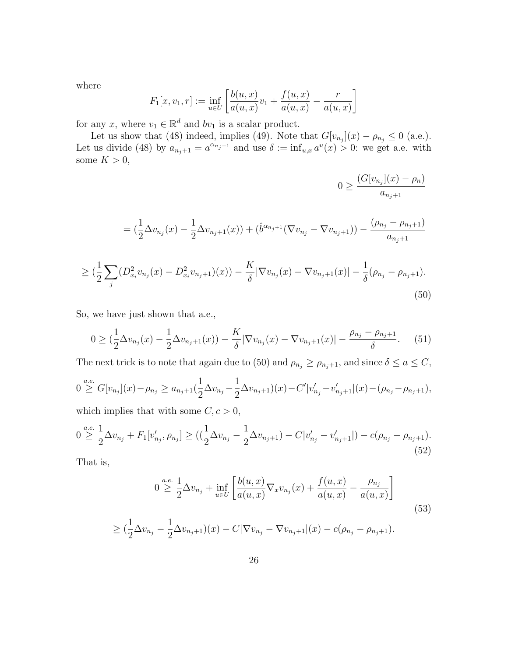where

$$
F_1[x, v_1, r] := \inf_{u \in U} \left[ \frac{b(u, x)}{a(u, x)} v_1 + \frac{f(u, x)}{a(u, x)} - \frac{r}{a(u, x)} \right]
$$

for any x, where  $v_1 \in \mathbb{R}^d$  and  $bv_1$  is a scalar product.

Let us show that (48) indeed, implies (49). Note that  $G[v_{n_j}](x) - \rho_{n_j} \leq 0$  (a.e.). Let us divide (48) by  $a_{n_j+1} = a^{\alpha_{n_j+1}}$  and use  $\delta := \inf_{u,x} a^u(x) > 0$ : we get a.e. with some  $K > 0$ ,

$$
0 \ge \frac{(G[v_{n_j}](x) - \rho_n)}{a_{n_j+1}}
$$
  
=  $\left(\frac{1}{2}\Delta v_{n_j}(x) - \frac{1}{2}\Delta v_{n_j+1}(x)\right) + \left(\hat{b}^{\alpha_{n_j+1}}(\nabla v_{n_j} - \nabla v_{n_j+1})\right) - \frac{(\rho_{n_j} - \rho_{n_j+1})}{a_{n_j+1}}$ 

$$
\geq \left(\frac{1}{2}\sum_{j}\left(D_{x_i}^2v_{n_j}(x) - D_{x_i}^2v_{n_j+1}\right)(x)\right) - \frac{K}{\delta}|\nabla v_{n_j}(x) - \nabla v_{n_j+1}(x)| - \frac{1}{\delta}(\rho_{n_j} - \rho_{n_j+1}).
$$
\n(50)

So, we have just shown that a.e.,

$$
0 \geq \left(\frac{1}{2}\Delta v_{n_j}(x) - \frac{1}{2}\Delta v_{n_j+1}(x)\right) - \frac{K}{\delta}|\nabla v_{n_j}(x) - \nabla v_{n_j+1}(x)| - \frac{\rho_{n_j} - \rho_{n_j+1}}{\delta}.\tag{51}
$$

The next trick is to note that again due to (50) and  $\rho_{n_j} \ge \rho_{n_j+1}$ , and since  $\delta \le a \le C$ ,

$$
0 \stackrel{a.e.}{\geq} G[v_{n_j}](x) - \rho_{n_j} \geq a_{n_j+1} \left(\frac{1}{2} \Delta v_{n_j} - \frac{1}{2} \Delta v_{n_j+1}\right)(x) - C'|v'_{n_j} - v'_{n_j+1}|(x) - (\rho_{n_j} - \rho_{n_j+1}),
$$

which implies that with some  $C, c > 0,$ 

$$
0 \stackrel{a.e.}{\geq} \frac{1}{2} \Delta v_{n_j} + F_1[v'_{n_j}, \rho_{n_j}] \geq \left( \left( \frac{1}{2} \Delta v_{n_j} - \frac{1}{2} \Delta v_{n_j+1} \right) - C|v'_{n_j} - v'_{n_j+1}| \right) - c(\rho_{n_j} - \rho_{n_j+1}).
$$
\n(52)

That is,

$$
0 \stackrel{a.e.}{\geq} \frac{1}{2} \Delta v_{n_j} + \inf_{u \in U} \left[ \frac{b(u, x)}{a(u, x)} \nabla_x v_{n_j}(x) + \frac{f(u, x)}{a(u, x)} - \frac{\rho_{n_j}}{a(u, x)} \right]
$$
(53)

$$
\geq \left(\frac{1}{2}\Delta v_{n_j} - \frac{1}{2}\Delta v_{n_j+1}\right)(x) - C|\nabla v_{n_j} - \nabla v_{n_j+1}|\big(x\big) - c(\rho_{n_j} - \rho_{n_j+1}).
$$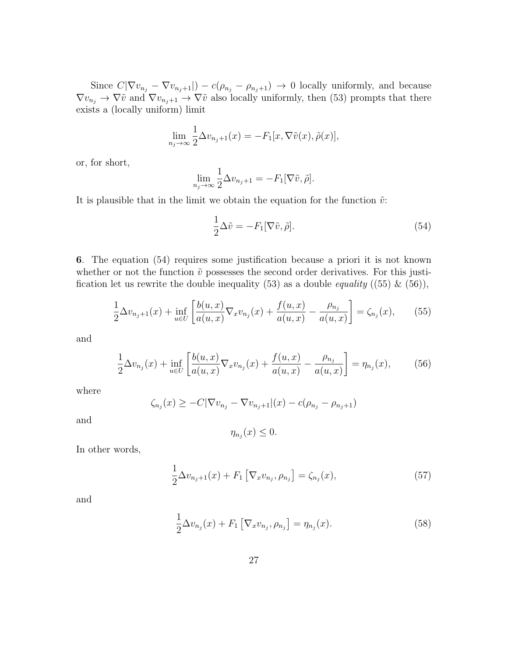Since  $C|\nabla v_{n_j} - \nabla v_{n_j+1}|$ ) –  $c(\rho_{n_j} - \rho_{n_j+1}) \to 0$  locally uniformly, and because  $\nabla v_{n_j} \to \nabla \tilde{v}$  and  $\nabla v_{n_j+1} \to \nabla \tilde{v}$  also locally uniformly, then (53) prompts that there exists a (locally uniform) limit

$$
\lim_{n_j \to \infty} \frac{1}{2} \Delta v_{n_j+1}(x) = -F_1[x, \nabla \tilde{v}(x), \tilde{\rho}(x)],
$$

or, for short,

$$
\lim_{n_j \to \infty} \frac{1}{2} \Delta v_{n_j+1} = -F_1[\nabla \tilde{v}, \tilde{\rho}].
$$

It is plausible that in the limit we obtain the equation for the function  $\tilde{v}$ :

$$
\frac{1}{2}\Delta \tilde{v} = -F_1[\nabla \tilde{v}, \tilde{\rho}].\tag{54}
$$

6. The equation (54) requires some justification because a priori it is not known whether or not the function  $\tilde{v}$  possesses the second order derivatives. For this justification let us rewrite the double inequality (53) as a double *equality* ((55)  $\&$  (56)),

$$
\frac{1}{2}\Delta v_{n_j+1}(x) + \inf_{u \in U} \left[ \frac{b(u,x)}{a(u,x)} \nabla_x v_{n_j}(x) + \frac{f(u,x)}{a(u,x)} - \frac{\rho_{n_j}}{a(u,x)} \right] = \zeta_{n_j}(x), \tag{55}
$$

and

$$
\frac{1}{2}\Delta v_{n_j}(x) + \inf_{u \in U} \left[ \frac{b(u,x)}{a(u,x)} \nabla_x v_{n_j}(x) + \frac{f(u,x)}{a(u,x)} - \frac{\rho_{n_j}}{a(u,x)} \right] = \eta_{n_j}(x),\tag{56}
$$

where

$$
\zeta_{n_j}(x) \geq -C|\nabla v_{n_j} - \nabla v_{n_j+1}|(x) - c(\rho_{n_j} - \rho_{n_j+1})
$$

and

$$
\eta_{n_j}(x) \leq 0.
$$

In other words,

$$
\frac{1}{2}\Delta v_{n_j+1}(x) + F_1 \left[ \nabla_x v_{n_j}, \rho_{n_j} \right] = \zeta_{n_j}(x),\tag{57}
$$

and

$$
\frac{1}{2}\Delta v_{n_j}(x) + F_1 \left[ \nabla_x v_{n_j}, \rho_{n_j} \right] = \eta_{n_j}(x). \tag{58}
$$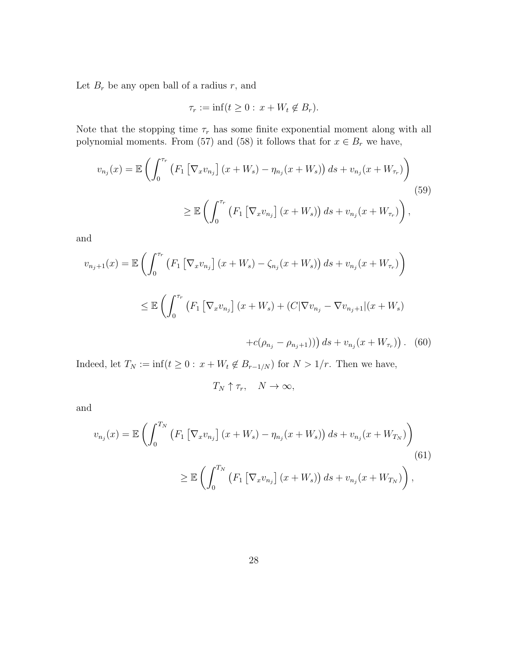Let  $B_r$  be any open ball of a radius  $r$ , and

$$
\tau_r := \inf(t \ge 0 : x + W_t \notin B_r).
$$

Note that the stopping time  $\tau_r$  has some finite exponential moment along with all polynomial moments. From (57) and (58) it follows that for  $x \in B_r$  we have,

$$
v_{n_j}(x) = \mathbb{E}\left(\int_0^{\tau_r} \left(F_1 \left[\nabla_x v_{n_j}\right](x + W_s) - \eta_{n_j}(x + W_s)\right) ds + v_{n_j}(x + W_{\tau_r})\right) \geq \mathbb{E}\left(\int_0^{\tau_r} \left(F_1 \left[\nabla_x v_{n_j}\right](x + W_s)\right) ds + v_{n_j}(x + W_{\tau_r})\right),\tag{59}
$$

and

$$
v_{n_j+1}(x) = \mathbb{E}\left(\int_0^{\tau_r} \left(F_1\left[\nabla_x v_{n_j}\right](x + W_s) - \zeta_{n_j}(x + W_s)\right)ds + v_{n_j}(x + W_{\tau_r})\right) \leq \mathbb{E}\left(\int_0^{\tau_r} \left(F_1\left[\nabla_x v_{n_j}\right](x + W_s) + (C|\nabla v_{n_j} - \nabla v_{n_j+1}||x + W_s)\right)\right)ds\right)
$$

$$
+c(\rho_{n_j}-\rho_{n_j+1})) ds + v_{n_j}(x+W_{\tau_r})).
$$
 (60)

Indeed, let  $T_N := \inf(t \geq 0: x + W_t \notin B_{r-1/N})$  for  $N > 1/r$ . Then we have,

$$
T_N \uparrow \tau_r, \quad N \to \infty,
$$

and

$$
v_{n_j}(x) = \mathbb{E}\left(\int_0^{T_N} \left(F_1\left[\nabla_x v_{n_j}\right](x + W_s) - \eta_{n_j}(x + W_s)\right) ds + v_{n_j}(x + W_{T_N})\right)
$$
\n
$$
\geq \mathbb{E}\left(\int_0^{T_N} \left(F_1\left[\nabla_x v_{n_j}\right](x + W_s)\right) ds + v_{n_j}(x + W_{T_N})\right),
$$
\n(61)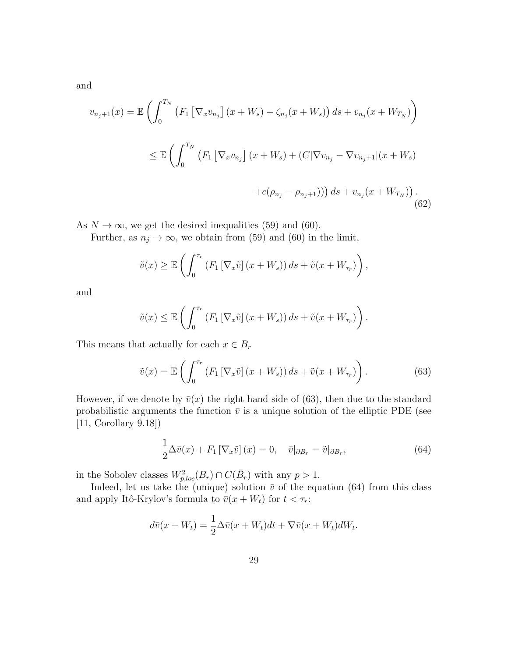and

$$
v_{n_j+1}(x) = \mathbb{E}\left(\int_0^{T_N} \left(F_1\left[\nabla_x v_{n_j}\right](x + W_s) - \zeta_{n_j}(x + W_s)\right)ds + v_{n_j}(x + W_{T_N})\right)
$$
  

$$
\leq \mathbb{E}\left(\int_0^{T_N} \left(F_1\left[\nabla_x v_{n_j}\right](x + W_s) + (C|\nabla v_{n_j} - \nabla v_{n_j+1}||(x + W_s) + c(\rho_{n_j} - \rho_{n_j+1}))\right)ds + v_{n_j}(x + W_{T_N})\right).
$$
(62)

As  $N \to \infty$ , we get the desired inequalities (59) and (60).

Further, as  $n_j \to \infty$ , we obtain from (59) and (60) in the limit,

$$
\tilde{v}(x) \geq \mathbb{E}\left(\int_0^{\tau_r} \left(F_1\left[\nabla_x \tilde{v}\right](x+W_s)\right)ds + \tilde{v}(x+W_{\tau_r})\right),\,
$$

and

$$
\tilde{v}(x) \leq \mathbb{E}\left(\int_0^{\tau_r} \left(F_1\left[\nabla_x \tilde{v}\right](x+W_s)\right)ds + \tilde{v}(x+W_{\tau_r})\right).
$$

This means that actually for each  $x\in B_r$ 

$$
\tilde{v}(x) = \mathbb{E}\left(\int_0^{\tau_r} \left(F_1\left[\nabla_x \tilde{v}\right](x + W_s)\right)ds + \tilde{v}(x + W_{\tau_r})\right). \tag{63}
$$

However, if we denote by  $\bar{v}(x)$  the right hand side of (63), then due to the standard probabilistic arguments the function  $\bar{v}$  is a unique solution of the elliptic PDE (see [11, Corollary 9.18])

$$
\frac{1}{2}\Delta\bar{v}(x) + F_1\left[\nabla_x\tilde{v}\right](x) = 0, \quad \bar{v}|_{\partial B_r} = \tilde{v}|_{\partial B_r},\tag{64}
$$

in the Sobolev classes  $W_{p,loc}^2(B_r) \cap C(\bar{B}_r)$  with any  $p > 1$ .

Indeed, let us take the (unique) solution  $\bar{v}$  of the equation (64) from this class and apply Itô-Krylov's formula to  $\bar{v}(x + W_t)$  for  $t < \tau_r$ :

$$
d\bar{v}(x + W_t) = \frac{1}{2}\Delta\bar{v}(x + W_t)dt + \nabla\bar{v}(x + W_t)dW_t.
$$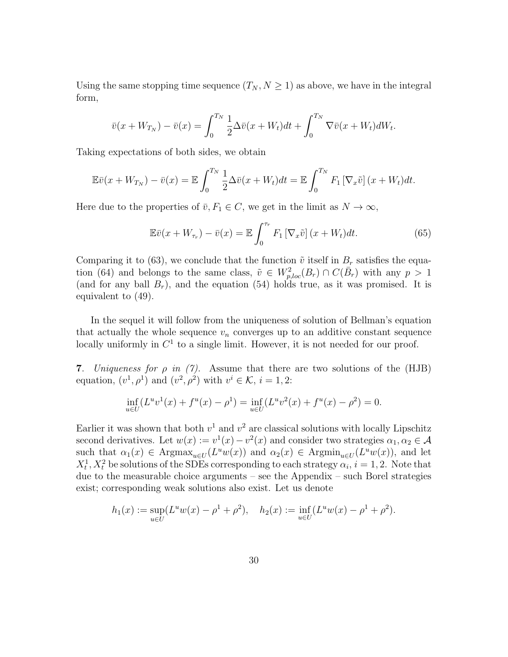Using the same stopping time sequence  $(T_N, N \geq 1)$  as above, we have in the integral form,

$$
\bar{v}(x+W_{T_N})-\bar{v}(x)=\int_0^{T_N}\frac{1}{2}\Delta\bar{v}(x+W_t)dt+\int_0^{T_N}\nabla\bar{v}(x+W_t)dW_t.
$$

Taking expectations of both sides, we obtain

$$
\mathbb{E}\bar{v}(x+W_{T_N})-\bar{v}(x)=\mathbb{E}\int_0^{T_N}\frac{1}{2}\Delta\bar{v}(x+W_t)dt=\mathbb{E}\int_0^{T_N}F_1\left[\nabla_x\tilde{v}\right](x+W_t)dt.
$$

Here due to the properties of  $\bar{v}, F_1 \in C$ , we get in the limit as  $N \to \infty$ ,

$$
\mathbb{E}\bar{v}(x+W_{\tau_r})-\bar{v}(x)=\mathbb{E}\int_0^{\tau_r}F_1\left[\nabla_x\tilde{v}\right](x+W_t)dt.
$$
\n(65)

Comparing it to (63), we conclude that the function  $\tilde{v}$  itself in  $B_r$  satisfies the equation (64) and belongs to the same class,  $\tilde{v} \in W_{p,loc}^2(B_r) \cap C(\bar{B}_r)$  with any  $p > 1$ (and for any ball  $B_r$ ), and the equation (54) holds true, as it was promised. It is equivalent to (49).

In the sequel it will follow from the uniqueness of solution of Bellman's equation that actually the whole sequence  $v_n$  converges up to an additive constant sequence locally uniformly in  $C<sup>1</sup>$  to a single limit. However, it is not needed for our proof.

7. Uniqueness for  $\rho$  in (7). Assume that there are two solutions of the (HJB) equation,  $(v^1, \rho^1)$  and  $(v^2, \rho^2)$  with  $v^i \in \mathcal{K}$ ,  $i = 1, 2$ :

$$
\inf_{u \in U} (L^u v^1(x) + f^u(x) - \rho^1) = \inf_{u \in U} (L^u v^2(x) + f^u(x) - \rho^2) = 0.
$$

Earlier it was shown that both  $v^1$  and  $v^2$  are classical solutions with locally Lipschitz second derivatives. Let  $w(x) := v^1(x) - v^2(x)$  and consider two strategies  $\alpha_1, \alpha_2 \in \mathcal{A}$ such that  $\alpha_1(x) \in \text{Argmax}_{u \in U}(L^u w(x))$  and  $\alpha_2(x) \in \text{Argmin}_{u \in U}(L^u w(x))$ , and let  $X_t^1, X_t^2$  be solutions of the SDEs corresponding to each strategy  $\alpha_i$ ,  $i = 1, 2$ . Note that due to the measurable choice arguments – see the Appendix – such Borel strategies exist; corresponding weak solutions also exist. Let us denote

$$
h_1(x) := \sup_{u \in U} (L^u w(x) - \rho^1 + \rho^2), \quad h_2(x) := \inf_{u \in U} (L^u w(x) - \rho^1 + \rho^2).
$$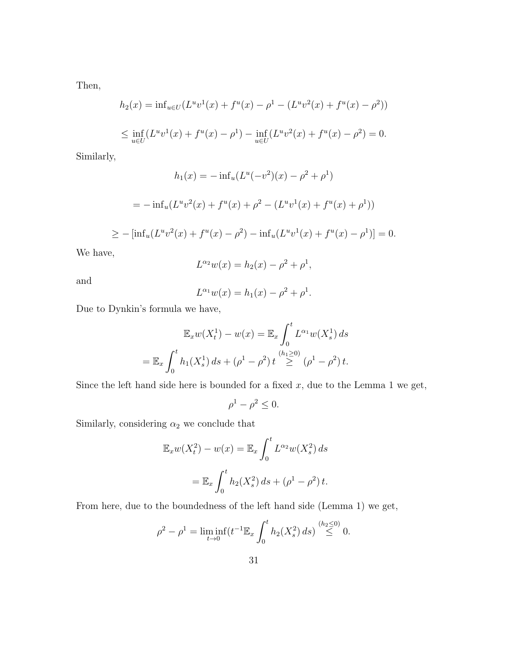Then,

$$
h_2(x) = \inf_{u \in U} (L^u v^1(x) + f^u(x) - \rho^1 - (L^u v^2(x) + f^u(x) - \rho^2))
$$
  

$$
\leq \inf_{u \in U} (L^u v^1(x) + f^u(x) - \rho^1) - \inf_{u \in U} (L^u v^2(x) + f^u(x) - \rho^2) = 0.
$$

Similarly,

$$
h_1(x) = -\inf_u (L^u(-v^2)(x) - \rho^2 + \rho^1)
$$

$$
= -\inf_u (L^u v^2(x) + f^u(x) + \rho^2 - (L^u v^1(x) + f^u(x) + \rho^1))
$$

$$
\geq -\left[\inf_u(L^uv^2(x) + f^u(x) - \rho^2) - \inf_u(L^uv^1(x) + f^u(x) - \rho^1)\right] = 0.
$$

We have,

$$
L^{\alpha_2}w(x) = h_2(x) - \rho^2 + \rho^1,
$$

and

$$
L^{\alpha_1}w(x) = h_1(x) - \rho^2 + \rho^1.
$$

Due to Dynkin's formula we have,

$$
\mathbb{E}_x w(X_t^1) - w(x) = \mathbb{E}_x \int_0^t L^{\alpha_1} w(X_s^1) ds
$$
  
=  $\mathbb{E}_x \int_0^t h_1(X_s^1) ds + (\rho^1 - \rho^2) t \stackrel{(h_1 \ge 0)}{\ge} (\rho^1 - \rho^2) t.$ 

Since the left hand side here is bounded for a fixed  $x$ , due to the Lemma 1 we get,

$$
\rho^1 - \rho^2 \le 0.
$$

Similarly, considering  $\alpha_2$  we conclude that

$$
\mathbb{E}_x w(X_t^2) - w(x) = \mathbb{E}_x \int_0^t L^{\alpha_2} w(X_s^2) ds
$$

$$
= \mathbb{E}_x \int_0^t h_2(X_s^2) ds + (\rho^1 - \rho^2) t.
$$

From here, due to the boundedness of the left hand side (Lemma 1) we get,

$$
\rho^2 - \rho^1 = \liminf_{t \to 0} \left( t^{-1} \mathbb{E}_x \int_0^t h_2(X_s^2) \, ds \right) \stackrel{(h_2 \le 0)}{\le} 0.
$$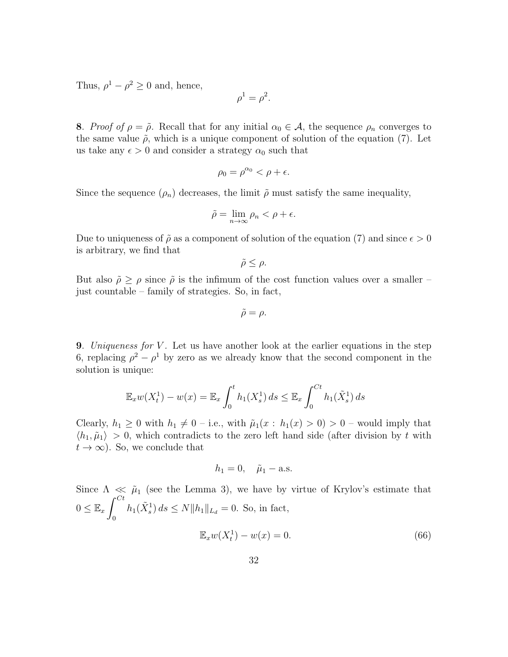Thus,  $\rho^1 - \rho^2 \geq 0$  and, hence,

$$
\rho^1 = \rho^2.
$$

8. Proof of  $\rho = \tilde{\rho}$ . Recall that for any initial  $\alpha_0 \in \mathcal{A}$ , the sequence  $\rho_n$  converges to the same value  $\tilde{\rho}$ , which is a unique component of solution of the equation (7). Let us take any  $\epsilon > 0$  and consider a strategy  $\alpha_0$  such that

$$
\rho_0 = \rho^{\alpha_0} < \rho + \epsilon.
$$

Since the sequence  $(\rho_n)$  decreases, the limit  $\tilde{\rho}$  must satisfy the same inequality,

$$
\tilde{\rho} = \lim_{n \to \infty} \rho_n < \rho + \epsilon.
$$

Due to uniqueness of  $\tilde{\rho}$  as a component of solution of the equation (7) and since  $\epsilon > 0$ is arbitrary, we find that

$$
\tilde{\rho}\leq\rho.
$$

But also  $\tilde{\rho} \ge \rho$  since  $\tilde{\rho}$  is the infimum of the cost function values over a smaller – just countable – family of strategies. So, in fact,

$$
\tilde{\rho} = \rho.
$$

**9.** Uniqueness for V. Let us have another look at the earlier equations in the step 6, replacing  $\rho^2 - \rho^1$  by zero as we already know that the second component in the solution is unique:

$$
\mathbb{E}_x w(X_t^1) - w(x) = \mathbb{E}_x \int_0^t h_1(X_s^1) ds \le \mathbb{E}_x \int_0^{Ct} h_1(\tilde{X}_s^1) ds
$$

Clearly,  $h_1 \geq 0$  with  $h_1 \neq 0$  – i.e., with  $\tilde{\mu}_1(x : h_1(x) > 0) > 0$  – would imply that  $\langle h_1, \tilde{\mu}_1 \rangle > 0$ , which contradicts to the zero left hand side (after division by t with  $t \to \infty$ ). So, we conclude that

$$
h_1=0, \quad \tilde{\mu}_1-\text{a.s.}
$$

Since  $\Lambda \ll \tilde{\mu}_1$  (see the Lemma 3), we have by virtue of Krylov's estimate that  $0 \leq \mathbb{E}_x \int^{Ct}$ 0  $h_1(\tilde{X}_s^1) ds \le N ||h_1||_{L_d} = 0.$  So, in fact,  $\mathbb{E}_x w(X_t^1) - w(x) = 0.$  (66)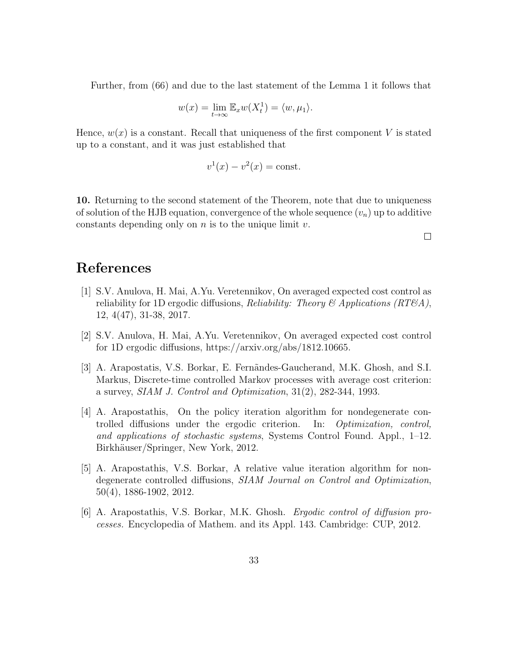Further, from (66) and due to the last statement of the Lemma 1 it follows that

$$
w(x) = \lim_{t \to \infty} \mathbb{E}_x w(X_t^1) = \langle w, \mu_1 \rangle.
$$

Hence,  $w(x)$  is a constant. Recall that uniqueness of the first component V is stated up to a constant, and it was just established that

$$
v^1(x) - v^2(x) = \text{const.}
$$

10. Returning to the second statement of the Theorem, note that due to uniqueness of solution of the HJB equation, convergence of the whole sequence  $(v_n)$  up to additive constants depending only on  $n$  is to the unique limit  $v$ .

 $\Box$ 

## References

- [1] S.V. Anulova, H. Mai, A.Yu. Veretennikov, On averaged expected cost control as reliability for 1D ergodic diffusions, *Reliability: Theory & Applications (RT&A)*, 12, 4(47), 31-38, 2017.
- [2] S.V. Anulova, H. Mai, A.Yu. Veretennikov, On averaged expected cost control for 1D ergodic diffusions, https://arxiv.org/abs/1812.10665.
- [3] A. Arapostatis, V.S. Borkar, E. Fern˜andes-Gaucherand, M.K. Ghosh, and S.I. Markus, Discrete-time controlled Markov processes with average cost criterion: a survey, SIAM J. Control and Optimization, 31(2), 282-344, 1993.
- [4] A. Arapostathis, On the policy iteration algorithm for nondegenerate controlled diffusions under the ergodic criterion. In: Optimization, control, and applications of stochastic systems, Systems Control Found. Appl., 1–12. Birkhäuser/Springer, New York, 2012.
- [5] A. Arapostathis, V.S. Borkar, A relative value iteration algorithm for nondegenerate controlled diffusions, SIAM Journal on Control and Optimization, 50(4), 1886-1902, 2012.
- [6] A. Arapostathis, V.S. Borkar, M.K. Ghosh. Ergodic control of diffusion processes. Encyclopedia of Mathem. and its Appl. 143. Cambridge: CUP, 2012.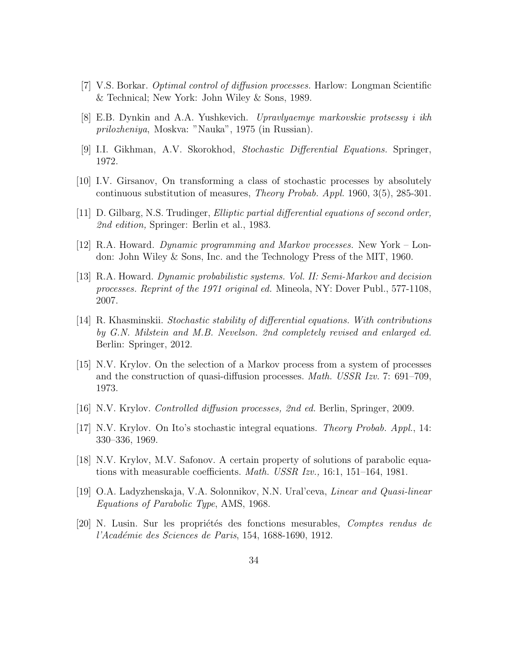- [7] V.S. Borkar. Optimal control of diffusion processes. Harlow: Longman Scientific & Technical; New York: John Wiley & Sons, 1989.
- [8] E.B. Dynkin and A.A. Yushkevich. Upravlyaemye markovskie protsessy i ikh prilozheniya, Moskva: "Nauka", 1975 (in Russian).
- [9] I.I. Gikhman, A.V. Skorokhod, Stochastic Differential Equations. Springer, 1972.
- [10] I.V. Girsanov, On transforming a class of stochastic processes by absolutely continuous substitution of measures, Theory Probab. Appl. 1960, 3(5), 285-301.
- [11] D. Gilbarg, N.S. Trudinger, Elliptic partial differential equations of second order, 2nd edition, Springer: Berlin et al., 1983.
- [12] R.A. Howard. Dynamic programming and Markov processes. New York London: John Wiley & Sons, Inc. and the Technology Press of the MIT, 1960.
- [13] R.A. Howard. Dynamic probabilistic systems. Vol. II: Semi-Markov and decision processes. Reprint of the 1971 original ed. Mineola, NY: Dover Publ., 577-1108, 2007.
- [14] R. Khasminskii. Stochastic stability of differential equations. With contributions by G.N. Milstein and M.B. Nevelson. 2nd completely revised and enlarged ed. Berlin: Springer, 2012.
- [15] N.V. Krylov. On the selection of a Markov process from a system of processes and the construction of quasi-diffusion processes. Math. USSR Izv. 7: 691–709, 1973.
- [16] N.V. Krylov. Controlled diffusion processes, 2nd ed. Berlin, Springer, 2009.
- [17] N.V. Krylov. On Ito's stochastic integral equations. Theory Probab. Appl., 14: 330–336, 1969.
- [18] N.V. Krylov, M.V. Safonov. A certain property of solutions of parabolic equations with measurable coefficients. Math. USSR Izv., 16:1, 151–164, 1981.
- [19] O.A. Ladyzhenskaja, V.A. Solonnikov, N.N. Ural'ceva, Linear and Quasi-linear Equations of Parabolic Type, AMS, 1968.
- [20] N. Lusin. Sur les propriétés des fonctions mesurables, *Comptes rendus de* l'Académie des Sciences de Paris, 154, 1688-1690, 1912.